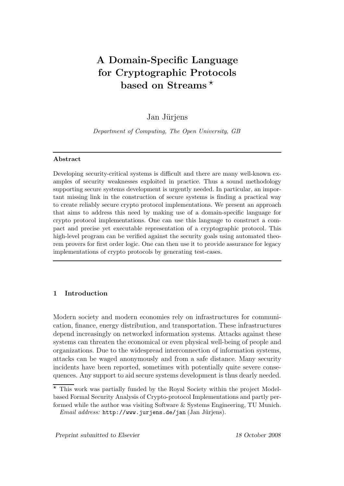# A Domain-Specific Language for Cryptographic Protocols based on Streams<sup>\*</sup>

## Jan Jürjens

Department of Computing, The Open University, GB

## Abstract

Developing security-critical systems is difficult and there are many well-known examples of security weaknesses exploited in practice. Thus a sound methodology supporting secure systems development is urgently needed. In particular, an important missing link in the construction of secure systems is finding a practical way to create reliably secure crypto protocol implementations. We present an approach that aims to address this need by making use of a domain-specific language for crypto protocol implementations. One can use this language to construct a compact and precise yet executable representation of a cryptographic protocol. This high-level program can be verified against the security goals using automated theorem provers for first order logic. One can then use it to provide assurance for legacy implementations of crypto protocols by generating test-cases.

## 1 Introduction

Modern society and modern economies rely on infrastructures for communication, finance, energy distribution, and transportation. These infrastructures depend increasingly on networked information systems. Attacks against these systems can threaten the economical or even physical well-being of people and organizations. Due to the widespread interconnection of information systems, attacks can be waged anonymously and from a safe distance. Many security incidents have been reported, sometimes with potentially quite severe consequences. Any support to aid secure systems development is thus dearly needed.

 $\star$  This work was partially funded by the Royal Society within the project Modelbased Formal Security Analysis of Crypto-protocol Implementations and partly performed while the author was visiting Software & Systems Engineering, TU Munich.

Email address: http://www.jurjens.de/jan (Jan Jürjens).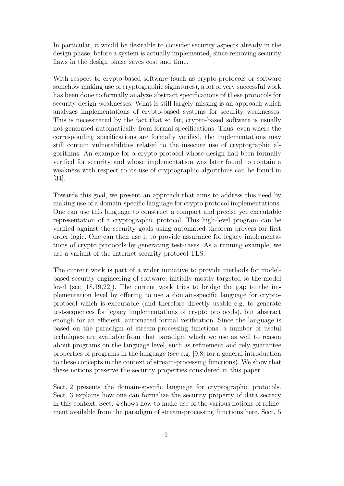In particular, it would be desirable to consider security aspects already in the design phase, before a system is actually implemented, since removing security flaws in the design phase saves cost and time.

With respect to crypto-based software (such as crypto-protocols or software somehow making use of cryptographic signatures), a lot of very successful work has been done to formally analyze abstract specifications of these protocols for security design weaknesses. What is still largely missing is an approach which analyzes implementations of crypto-based systems for security weaknesses. This is necessitated by the fact that so far, crypto-based software is usually not generated automatically from formal specifications. Thus, even where the corresponding specifications are formally verified, the implementations may still contain vulnerabilities related to the insecure use of cryptographic algorithms. An example for a crypto-protocol whose design had been formally verified for security and whose implementation was later found to contain a weakness with respect to its use of cryptographic algorithms can be found in  $|34|$ .

Towards this goal, we present an approach that aims to address this need by making use of a domain-specific language for crypto protocol implementations. One can use this language to construct a compact and precise yet executable representation of a cryptographic protocol. This high-level program can be verified against the security goals using automated theorem provers for first order logic. One can then use it to provide assurance for legacy implementations of crypto protocols by generating test-cases. As a running example, we use a variant of the Internet security protocol TLS.

The current work is part of a wider initiative to provide methods for modelbased security engineering of software, initially mostly targeted to the model level (see [18,19,22]). The current work tries to bridge the gap to the implementation level by offering to use a domain-specific language for cryptoprotocol which is executable (and therefore directly usable e.g. to generate test-sequences for legacy implementations of crypto protocols), but abstract enough for an efficient, automated formal verification. Since the language is based on the paradigm of stream-processing functions, a number of useful techniques are available from that paradigm which we use as well to reason about programs on the language level, such as refinement and rely-guarantee properties of programs in the language (see e.g. [9,8] for a general introduction to these concepts in the context of stream-processing functions). We show that these notions preserve the security properties considered in this paper.

Sect. 2 presents the domain-specific language for cryptographic protocols. Sect. 3 explains how one can formalize the security property of data secrecy in this context. Sect. 4 shows how to make use of the various notions of refinement available from the paradigm of stream-processing functions here. Sect. 5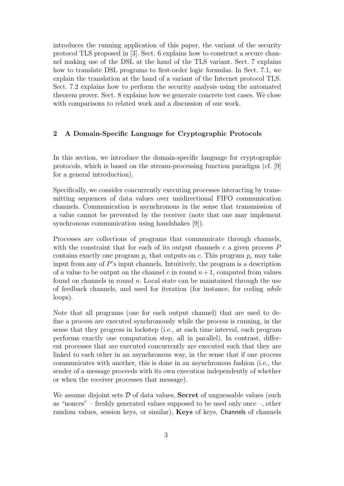introduces the running application of this paper, the variant of the security protocol TLS proposed in [3]. Sect. 6 explains how to construct a secure channel making use of the DSL at the hand of the TLS variant. Sect. 7 explains how to translate DSL programs to first-order logic formulas. In Sect. 7.1, we explain the translation at the hand of a variant of the Internet protocol TLS. Sect. 7.2 explains how to perform the security analysis using the automated theorem prover. Sect. 8 explains how we generate concrete test cases. We close with comparisons to related work and a discussion of our work.

## 2 A Domain-Specific Language for Cryptographic Protocols

In this section, we introduce the domain-specific language for cryptographic protocols, which is based on the stream-processing function paradigm (cf. [9] for a general introduction).

Specifically, we consider concurrently executing processes interacting by transmitting sequences of data values over unidirectional FIFO communication channels. Communication is asynchronous in the sense that transmission of a value cannot be prevented by the receiver (note that one may implement synchronous communication using handshakes [9]).

Processes are collections of programs that communicate through channels, with the constraint that for each of its output channels  $c$  a given process  $P$ contains exactly one program  $p_c$  that outputs on c. This program  $p_c$  may take input from any of  $P$ 's input channels. Intuitively, the program is a description of a value to be output on the channel c in round  $n+1$ , computed from values found on channels in round  $n$ . Local state can be maintained through the use of feedback channels, and used for iteration (for instance, for coding while loops).

Note that all programs (one for each output channel) that are used to define a process are executed synchronously while the process is running, in the sense that they progress in lockstep (i.e., at each time interval, each program performs exactly one computation step, all in parallel). In contrast, different processes that are executed concurrently are executed such that they are linked to each other in an asynchronous way, in the sense that if one process communicates with another, this is done in an asynchronous fashion (i.e., the sender of a message proceeds with its own execution independently of whether or when the receiver processes that message).

We assume disjoint sets  $D$  of data values, **Secret** of unguessable values (such as "nonces" – freshly generated values supposed to be used only once –, other random values, session keys, or similar), Keys of keys, Channels of channels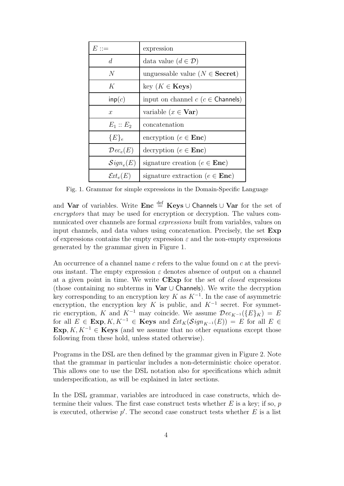| $E ::=$              | expression                                  |  |
|----------------------|---------------------------------------------|--|
| d                    | data value $(d \in \mathcal{D})$            |  |
| $\overline{N}$       | unguessable value ( $N \in \text{Secret}$ ) |  |
| K                    | key $(K \in \mathbf{Keys})$                 |  |
| inp(c)               | input on channel $c$ ( $c \in$ Channels)    |  |
| $\mathcal{X}$        | variable $(x \in \mathbf{Var})$             |  |
| $E_1 :: E_2$         | concatenation                               |  |
| ${E}_e$              | encryption ( $e \in \text{Enc}$ )           |  |
| ${\cal D}ec_e(E)$    | decryption $(e \in \mathbf{Enc})$           |  |
| $Sign_e(E)$          | signature creation ( $e \in \text{Enc}$ )   |  |
| $\mathcal{E}xt_e(E)$ | signature extraction ( $e \in \text{Enc}$ ) |  |

Fig. 1. Grammar for simple expressions in the Domain-Specific Language

and Var of variables. Write Enc  $\stackrel{\text{def}}{=}$  Keys ∪ Channels ∪ Var for the set of encryptors that may be used for encryption or decryption. The values communicated over channels are formal expressions built from variables, values on input channels, and data values using concatenation. Precisely, the set Exp of expressions contains the empty expression  $\varepsilon$  and the non-empty expressions generated by the grammar given in Figure 1.

An occurrence of a channel name c refers to the value found on c at the previous instant. The empty expression  $\varepsilon$  denotes absence of output on a channel at a given point in time. We write CExp for the set of closed expressions (those containing no subterms in Var ∪ Channels). We write the decryption key corresponding to an encryption key K as  $K^{-1}$ . In the case of asymmetric encryption, the encryption key K is public, and  $K^{-1}$  secret. For symmetric encryption, K and K<sup>-1</sup> may coincide. We assume  $\mathcal{D}ec_{K^{-1}}(\lbrace E \rbrace_K) = E$ for all  $E \in \text{Exp}, K, K^{-1} \in \text{Keys}$  and  $\mathcal{E}xt_K(\mathcal{S}ign_{K^{-1}}(E)) = E$  for all  $E \in$ Exp,  $K, K^{-1} \in \mathbf{Keys}$  (and we assume that no other equations except those following from these hold, unless stated otherwise).

Programs in the DSL are then defined by the grammar given in Figure 2. Note that the grammar in particular includes a non-deterministic choice operator. This allows one to use the DSL notation also for specifications which admit underspecification, as will be explained in later sections.

In the DSL grammar, variables are introduced in case constructs, which determine their values. The first case construct tests whether  $E$  is a key; if so,  $p$ is executed, otherwise  $p'$ . The second case construct tests whether  $E$  is a list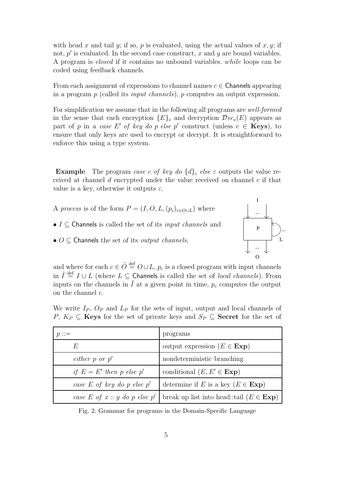with head x and tail y; if so, p is evaluated, using the actual values of  $x, y$ ; if not,  $p'$  is evaluated. In the second case construct,  $x$  and  $y$  are bound variables. A program is closed if it contains no unbound variables. while loops can be coded using feedback channels.

From each assignment of expressions to channel names  $c \in \mathsf{Channels}$  appearing in a program  $p$  (called its *input channels*),  $p$  computes an output expression.

For simplification we assume that in the following all programs are well-formed in the sense that each encryption  ${E}_{e}$  and decryption  $\mathcal{D}ec_{e}(E)$  appears as part of p in a case E' of key do p else p' construct (unless  $e \in \mathbf{Keys}$ ), to ensure that only keys are used to encrypt or decrypt. It is straightforward to enforce this using a type system.

**Example** The program case c of key do  $\{d\}_c$  else  $\varepsilon$  outputs the value received at channel  $d$  encrypted under the value received on channel  $c$  if that value is a key, otherwise it outputs  $\varepsilon$ .

A process is of the form  $P = (I, O, L, (p_c)_{c \in O\cup L})$  where

- $I \subseteq$  Channels is called the set of its *input channels* and
- $O \subseteq$  Channels the set of its *output channels*,



and where for each  $c \in \tilde{O} \stackrel{\text{def}}{=} O \cup L$ ,  $p_c$  is a closed program with input channels in  $\tilde{I} \stackrel{\rm def}{=} I \cup L$  (where  $L \subseteq$  Channels is called the set of *local channels*). From inputs on the channels in  $\tilde{I}$  at a given point in time,  $p_c$  computes the output on the channel c.

We write  $I_P$ ,  $O_P$  and  $L_P$  for the sets of input, output and local channels of P,  $K_P \subseteq \textbf{Keys}$  for the set of private keys and  $S_P \subseteq \textbf{Secret}$  for the set of

| $p ::=$                          | programs                                           |
|----------------------------------|----------------------------------------------------|
|                                  | output expression $(E \in \text{Exp})$             |
| either $p$ or $p'$               | nondeterministic branching                         |
| if $E = E'$ then p else p'       | conditional $(E, E' \in \mathbf{Exp})$             |
| case E of key do p else $p'$     | determine if E is a key $(E \in \text{Exp})$       |
| case E of $x:: y$ do p else $p'$ | break up list into head::tail $(E \in \text{Exp})$ |

Fig. 2. Grammar for programs in the Domain-Specific Language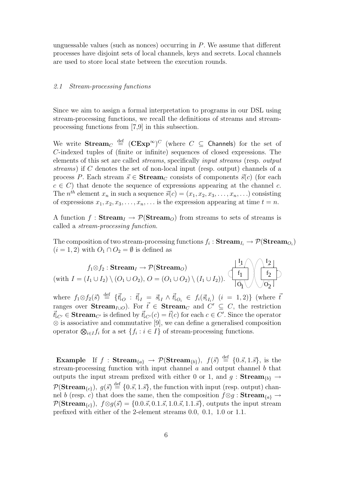unguessable values (such as nonces) occurring in  $P$ . We assume that different processes have disjoint sets of local channels, keys and secrets. Local channels are used to store local state between the execution rounds.

## 2.1 Stream-processing functions

Since we aim to assign a formal interpretation to programs in our DSL using stream-processing functions, we recall the definitions of streams and streamprocessing functions from [7,9] in this subsection.

We write  $\mathbf{Stream}_C \ \stackrel{\mathrm{def}}{=} \ (\mathbf{CExp}^{\infty})^C$  (where  $C \ \subseteq$  Channels) for the set of C-indexed tuples of (finite or infinite) sequences of closed expressions. The elements of this set are called streams, specifically input streams (resp. output streams) if C denotes the set of non-local input (resp. output) channels of a process P. Each stream  $\vec{s} \in \textbf{Stream}_C$  consists of components  $\vec{s}(c)$  (for each  $c \in C$ ) that denote the sequence of expressions appearing at the channel c. The  $n^{th}$  element  $x_n$  in such a sequence  $\vec{s}(c) = (x_1, x_2, x_3, \ldots, x_n, \ldots)$  consisting of expressions  $x_1, x_2, x_3, \ldots, x_n, \ldots$  is the expression appearing at time  $t = n$ .

A function  $f : \textbf{Stream}_I \rightarrow \mathcal{P}(\textbf{Stream}_O)$  from streams to sets of streams is called a stream-processing function.

The composition of two stream-processing functions  $f_i: \mathbf{Stream}_{I_i} \rightarrow \mathcal{P}(\mathbf{Stream}_{O_i})$  $(i = 1, 2)$  with  $O_1 \cap O_2 = \emptyset$  is defined as

$$
f_1 \otimes f_2 : \textbf{Stream}_I \to \mathcal{P}(\textbf{Stream}_O)
$$
  
(with  $I = (I_1 \cup I_2) \setminus (O_1 \cup O_2), O = (O_1 \cup O_2) \setminus (I_1 \cup I_2)).$  
$$
\underbrace{\begin{pmatrix} I_1 \\ f_1 \\ \hline o_1 \end{pmatrix}}_{\overline{O_2}} \underbrace{\begin{pmatrix} I_2 \\ f_2 \\ \hline o_2 \end{pmatrix}}_{\overline{O_2}}.
$$

where  $f_1 \otimes f_2(\vec{s}) \stackrel{\text{def}}{=} {\{\vec{t}|}_O : \vec{t}|}_I = \vec{s}|_I \wedge \vec{t}|_{O_i} \in f_i(\vec{s}|_{I_i}) \ (i = 1,2)\}$  (where  $\vec{t}$ ranges over  $\textbf{Stream}_{I\cup O}$ ). For  $\vec{t} \in \textbf{Stream}_C$  and  $C' \subseteq C$ , the restriction  $\vec{t}|_{C'} \in \textbf{Stream}_{C'}$  is defined by  $\vec{t}|_{C'}(c) = \vec{t}(c)$  for each  $c \in C'$ . Since the operator ⊗ is associative and commutative [9], we can define a generalised composition operator  $\otimes_{i \in I} f_i$  for a set  $\{f_i : i \in I\}$  of stream-processing functions.

**Example** If  $f : \textbf{Stream}_{\{a\}} \rightarrow \mathcal{P}(\textbf{Stream}_{\{b\}}), f(\vec{s}) \stackrel{\text{def}}{=} \{0.\vec{s}, 1.\vec{s}\}, \text{ is the}$ stream-processing function with input channel  $\alpha$  and output channel  $\bar{b}$  that outputs the input stream prefixed with either 0 or 1, and  $g : \mathbf{Stream}_{\{b\}} \rightarrow$  $\mathcal{P}(\mathbf{Stream}_{\{c\}}),\ g(\vec{s}) \stackrel{\text{def}}{=} \{0.\vec{s},1.\vec{s}\},\ \text{the function with input (resp. output) channel}$ nel b (resp. c) that does the same, then the composition  $f \otimes g$  :  $\textbf{Stream}_{\{a\}} \rightarrow$  $\mathcal{P}(\text{Stream}_{\{c\}}), f \otimes g(\vec{s}) = \{0.0\ldots, 0.1\ldots, 0.1\ldots, 1.1\ldots\}$ , outputs the input stream prefixed with either of the 2-element streams 0.0, 0.1, 1.0 or 1.1.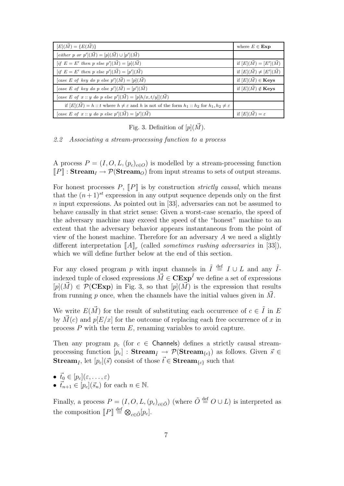| $[E](\vec{M}) = \{E(\vec{M})\}$                                                                                       | where $E \in \textbf{Exp}$             |
|-----------------------------------------------------------------------------------------------------------------------|----------------------------------------|
| [either p or $p'   (\vec{M}) = [p] (\vec{M}) \cup [p'](\vec{M})$                                                      |                                        |
| [if $E = E'$ then p else $p'   (\vec{M}) = [p] (\vec{M})$                                                             | if $[E](\vec{M}) = [E'](\vec{M})$      |
| [if $E = E'$ then p else $p'   (\vec{M}) = [p'   (\vec{M})]$                                                          | if $[E](\vec{M}) \neq [E'](\vec{M})$   |
| [case E of key do p else $p'$ ] $(\vec{M}) = [p](\vec{M})$                                                            | if $[E](\vec{M}) \in \mathbf{Keys}$    |
| [case E of key do p else $p'$ ] $(\vec{M}) = [p'](\vec{M})$                                                           | if $[E](\vec{M}) \notin \mathbf{Keys}$ |
| [case E of x :: y do p else $p'   (\vec{M}) = [p[h/x, t/y]](\vec{M})$                                                 |                                        |
| if $[E](M) = h :: t$ where $h \neq \varepsilon$ and h is not of the form $h_1 :: h_2$ for $h_1, h_2 \neq \varepsilon$ |                                        |
| [case E of x :: y do p else $p'$ ] $(\vec{M}) = [p'](\vec{M})$                                                        | if $[E](M) = \varepsilon$              |

Fig. 3. Definition of  $[p](\vec{M})$ .

2.2 Associating a stream-processing function to a process

A process  $P = (I, O, L, (p_c)_{c \in O})$  is modelled by a stream-processing function  $\llbracket P \rrbracket : \textbf{Stream}_I \rightarrow \mathcal{P}(\textbf{Stream}_O)$  from input streams to sets of output streams.

For honest processes  $P$ ,  $\llbracket P \rrbracket$  is by construction *strictly causal*, which means that the  $(n+1)^{st}$  expression in any output sequence depends only on the first n input expressions. As pointed out in [33], adversaries can not be assumed to behave causally in that strict sense: Given a worst-case scenario, the speed of the adversary machine may exceed the speed of the "honest" machine to an extent that the adversary behavior appears instantaneous from the point of view of the honest machine. Therefore for an adversary  $A$  we need a slightly different interpretation  $\llbracket A \rrbracket_r$  (called *sometimes rushing adversaries* in [33]), which we will define further below at the end of this section.

For any closed program p with input channels in  $\tilde{I} \stackrel{\text{def}}{=} I \cup L$  and any  $\tilde{I}$ indexed tuple of closed expressions  $\vec{M} \in \mathbf{CExp}^{\tilde{I}}$  we define a set of expressions  $[p](\tilde{M}) \in \mathcal{P}(\mathbf{CExp})$  in Fig. 3, so that  $[p](\tilde{M})$  is the expression that results from running p once, when the channels have the initial values given in  $\dot{M}$ .

We write  $E(\vec{M})$  for the result of substituting each occurrence of  $c \in \tilde{I}$  in E by  $\vec{M}(c)$  and  $p[E/x]$  for the outcome of replacing each free occurrence of x in process  $P$  with the term  $E$ , renaming variables to avoid capture.

Then any program  $p_c$  (for  $c \in$  Channels) defines a strictly causal streamprocessing function  $[p_c]$ : Stream<sub> $\tilde{j} \to \mathcal{P}(\text{Stream}_{\{c\}})$  as follows. Given  $\vec{s} \in$ </sub> **Stream**<sub>*i*</sub>, let  $[p_c](\vec{s})$  consist of those  $\vec{t} \in \textbf{Stream}_{\{c\}}$  such that

- $\vec{t}_0 \in [p_c](\varepsilon, \ldots, \varepsilon)$
- $\vec{t}_{n+1} \in [p_c](\vec{s}_n)$  for each  $n \in \mathbb{N}$ .

Finally, a process  $P = (I, O, L, (p_c)_{c \in \tilde{O}})$  (where  $\tilde{O} \stackrel{\text{def}}{=} O \cup L$ ) is interpreted as the composition  $[\![P]\!] \stackrel{\text{def}}{=} \bigotimes_{c \in \tilde{O}} [p_c].$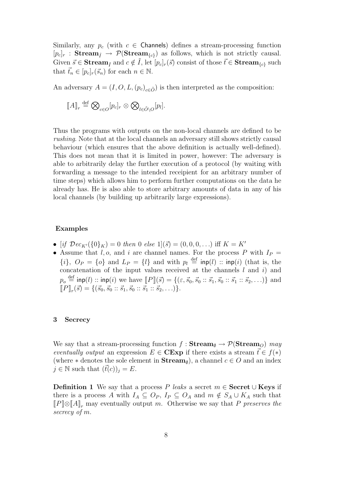Similarly, any  $p_c$  (with  $c \in$  Channels) defines a stream-processing function  $[p_c]_r$ : Stream<sub> $\tilde{p} \to \mathcal{P}(\text{Stream}_{\{c\}})$  as follows, which is not strictly causal.</sub> Given  $\vec{s} \in \mathbf{Stream}_{\tilde{I}}$  and  $c \notin \tilde{I}$ , let  $[p_c]_r(\vec{s})$  consist of those  $\vec{t} \in \mathbf{Stream}_{\{c\}}$  such that  $\vec{t}_n \in [p_c]_r(\vec{s}_n)$  for each  $n \in \mathbb{N}$ .

An adversary  $A = (I, O, L, (p_c)_{c \in \tilde{O}})$  is then interpreted as the composition:

$$
[\![A]\!]_r \stackrel{\text{def}}{=} \bigotimes_{c \in O} [p_c]_r \otimes \bigotimes_{l \in \tilde{O} \setminus O} [p_l].
$$

Thus the programs with outputs on the non-local channels are defined to be rushing. Note that at the local channels an adversary still shows strictly causal behaviour (which ensures that the above definition is actually well-defined). This does not mean that it is limited in power, however: The adversary is able to arbitrarily delay the further execution of a protocol (by waiting with forwarding a message to the intended receipient for an arbitrary number of time steps) which allows him to perform further computations on the data he already has. He is also able to store arbitrary amounts of data in any of his local channels (by building up arbitrarily large expressions).

## Examples

- [if  $Dec_{K'}({0})_{K} = 0$  then 0 else  $1|({\vec{s}}) = (0, 0, 0, ...)$  iff  $K = K'$
- Assume that l, o, and i are channel names. For the process P with  $I_P =$  $\{i\},\ O_P = \{o\}$  and  $L_P = \{l\}$  and with  $p_l \stackrel{\text{def}}{=} \text{inp}(l)$  :: inp(i) (that is, the concatenation of the input values received at the channels  $l$  and  $i$ ) and  $p_o \stackrel{\text{def}}{=} \mathsf{inp}(l) :: \mathsf{inp}(i) \text{ we have } [\![ P ]\!](\vec{s}) = \{(\varepsilon, \vec{s}_0, \vec{s}_0 : : \vec{s}_1, \vec{s}_0 : : \vec{s}_1 : : \vec{s}_2, \ldots)\} \text{ and }$  $[P]_r(\vec{s}) = \{(\vec{s}_0, \vec{s}_0 : \vec{s}_1, \vec{s}_0 : \vec{s}_1 : \vec{s}_2, \ldots)\}.$

#### 3 Secrecy

We say that a stream-processing function  $f : \mathbf{Stream}_{\emptyset} \to \mathcal{P}(\mathbf{Stream}_{\Omega})$  may eventually output an expression  $E \in \mathbf{CExp}$  if there exists a stream  $\vec{t} \in f(*)$ (where  $*$  denotes the sole element in  $\mathbf{Stream}_{\emptyset}$ ), a channel  $c \in O$  and an index  $j \in \mathbb{N}$  such that  $(\vec{t}(c))_i = E$ .

**Definition 1** We say that a process P leaks a secret m ∈ Secret ∪ Keys if there is a process A with  $I_A \subseteq O_P$ ,  $I_P \subseteq O_A$  and  $m \notin S_A \cup K_A$  such that  $[\![P]\!] \otimes [\![A]\!]_r$  may eventually output m. Otherwise we say that P preserves the secrecy of m.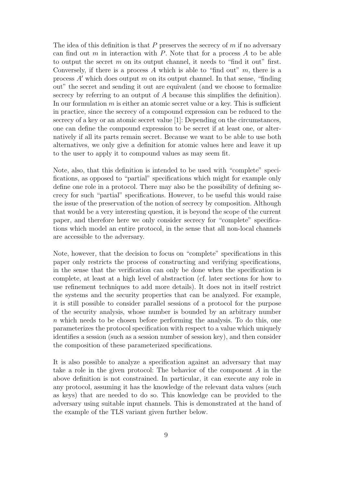The idea of this definition is that  $P$  preserves the secrecy of  $m$  if no adversary can find out  $m$  in interaction with  $P$ . Note that for a process  $A$  to be able to output the secret  $m$  on its output channel, it needs to "find it out" first. Conversely, if there is a process A which is able to "find out"  $m$ , there is a process  $A'$  which does output  $m$  on its output channel. In that sense, "finding out" the secret and sending it out are equivalent (and we choose to formalize secrecy by referring to an output of  $A$  because this simplifies the definition). In our formulation  $m$  is either an atomic secret value or a key. This is sufficient in practice, since the secrecy of a compound expression can be reduced to the secrecy of a key or an atomic secret value [1]: Depending on the circumstances, one can define the compound expression to be secret if at least one, or alternatively if all its parts remain secret. Because we want to be able to use both alternatives, we only give a definition for atomic values here and leave it up to the user to apply it to compound values as may seem fit.

Note, also, that this definition is intended to be used with "complete" specifications, as opposed to "partial" specifications which might for example only define one role in a protocol. There may also be the possibility of defining secrecy for such "partial" specifications. However, to be useful this would raise the issue of the preservation of the notion of secrecy by composition. Although that would be a very interesting question, it is beyond the scope of the current paper, and therefore here we only consider secrecy for "complete" specifications which model an entire protocol, in the sense that all non-local channels are accessible to the adversary.

Note, however, that the decision to focus on "complete" specifications in this paper only restricts the process of constructing and verifying specifications, in the sense that the verification can only be done when the specification is complete, at least at a high level of abstraction (cf. later sections for how to use refinement techniques to add more details). It does not in itself restrict the systems and the security properties that can be analyzed. For example, it is still possible to consider parallel sessions of a protocol for the purpose of the security analysis, whose number is bounded by an arbitrary number  $n$  which needs to be chosen before performing the analysis. To do this, one parameterizes the protocol specification with respect to a value which uniquely identifies a session (such as a session number of session key), and then consider the composition of these parameterized specifications.

It is also possible to analyze a specification against an adversary that may take a role in the given protocol: The behavior of the component A in the above definition is not constrained. In particular, it can execute any role in any protocol, assuming it has the knowledge of the relevant data values (such as keys) that are needed to do so. This knowledge can be provided to the adversary using suitable input channels. This is demonstrated at the hand of the example of the TLS variant given further below.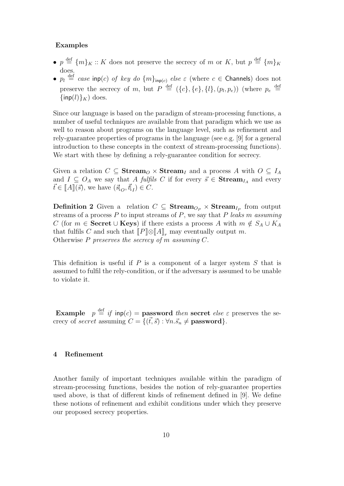## Examples

- $p \stackrel{\text{def}}{=} \{m\}_K :: K$  does not preserve the secrecy of m or K, but  $p \stackrel{\text{def}}{=} \{m\}_K$ does.
- $p_l \stackrel{\text{def}}{=} \text{case inp}(c)$  of key do  $\{m\}_{\text{inp}(c)}$  else  $\varepsilon$  (where  $c \in$  Channels) does not preserve the secrecy of m, but  $P \stackrel{\text{def}}{=} (\{c\}, \{e\}, \{l\}, (p_l, p_e))$  (where  $p_e \stackrel{\text{def}}{=}$  $\{\mathsf{inp}(l)\}_K$ ) does.

Since our language is based on the paradigm of stream-processing functions, a number of useful techniques are available from that paradigm which we use as well to reason about programs on the language level, such as refinement and rely-guarantee properties of programs in the language (see e.g. [9] for a general introduction to these concepts in the context of stream-processing functions). We start with these by defining a rely-guarantee condition for secrecy.

Given a relation  $C \subseteq$  Stream<sub>O</sub> × Stream<sub>I</sub> and a process A with  $O \subseteq I_A$ and  $I \subseteq O_A$  we say that A fulfils C if for every  $\vec{s} \in \mathbf{Stream}_{I_A}$  and every  $\vec{t} \in [A](\vec{s})$ , we have  $(\vec{s}|_O, \vec{t}|_I) \in C$ .

**Definition 2** Given a relation  $C \subseteq$  Stream<sub> $O_P$ </sub>  $\times$  Stream<sub>I<sub>P</sub> from output</sub> streams of a process  $P$  to input streams of  $P$ , we say that  $P$  leaks  $m$  assuming C (for  $m \in \mathbf{Secret} \cup \mathbf{Keys}$ ) if there exists a process A with  $m \notin S_A \cup K_A$ that fulfils C and such that  $[ P ] \otimes [A]_r$  may eventually output m. Otherwise  $P$  preserves the secrecy of m assuming  $C$ .

This definition is useful if  $P$  is a component of a larger system  $S$  that is assumed to fulfil the rely-condition, or if the adversary is assumed to be unable to violate it.

**Example**  $p \stackrel{\text{def}}{=} if \text{ inp}(c) = \text{password} then \text{ secret} else \varepsilon \text{ preserves the se-}$ crecy of secret assuming  $C = \{(\vec{t}, \vec{s}) : \forall n \cdot \vec{s}_n \neq \textbf{password}\}.$ 

## 4 Refinement

Another family of important techniques available within the paradigm of stream-processing functions, besides the notion of rely-guarantee properties used above, is that of different kinds of refinement defined in [9]. We define these notions of refinement and exhibit conditions under which they preserve our proposed secrecy properties.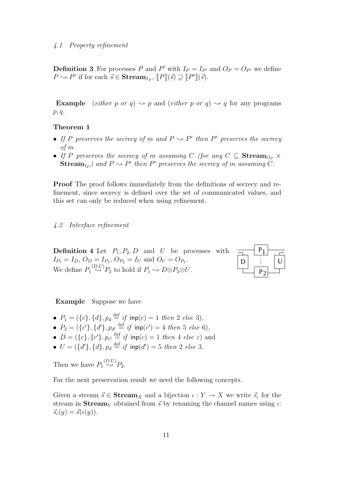**Definition 3** For processes P and P' with  $I_P = I_{P'}$  and  $O_P = O_{P'}$  we define  $P \rightsquigarrow P'$  if for each  $\vec{s} \in \mathbf{Stream}_{I_P}, \, [P] (\vec{s}) \supseteq [P''] (\vec{s}).$ 

**Example** (either p or q)  $\rightsquigarrow$  p and (either p or q)  $\rightsquigarrow$  q for any programs p, q.

#### Theorem 1

- If P preserves the secrecy of m and  $P \rightarrow P'$  then P' preserves the secrecy of m.
- If P preserves the secrecy of m assuming C (for any  $C \subseteq$  Stream<sub>Op</sub>  $\times$  $\textbf{Stream}_{IP}$ ) and  $P \rightsquigarrow P'$  then  $P'$  preserves the secrecy of m assuming  $\dot{C}$ .

Proof The proof follows immediately from the definitions of secrecy and refinement, since secrecy is defined over the set of communicated values, and this set can only be reduced when using refinement.

## 4.2 Interface refinement

**Definition 4** Let  $P_1, P_2, D$  and U be processes with  $I_{P_1} = I_D, O_D = I_{P_2}, O_{P_2} = I_U$  and  $O_U = O_{P_1}.$ We define  $P_1 \stackrel{(D,U)}{\sim} P_2$  to hold if  $P_1 \sim D \otimes P_2 \otimes U$ .



Example Suppose we have

- $P_1 = (\{c\}, \{d\}, p_d \stackrel{\text{def}}{=} if \text{ inp}(c) = 1 then 2 else 3),$
- $P_2 = (\{c'\}, \{d'\}, p_{d'} \stackrel{\text{def}}{=} if \text{ inp}(c') = 4 then 5 else 6),$
- $D = (\{c\}, \{c'\}, p_{c'} \stackrel{\text{def}}{=} \text{if } \mathsf{inp}(c) = 1 \text{ then } 4 \text{ else } \varepsilon) \text{ and}$
- $U = (\{d\}, \{d\}, p_d \stackrel{\text{def}}{=} if \text{ inp}(d') = 5 \text{ then } 2 \text{ else } 3.$

Then we have  $P_1 \stackrel{(D,U)}{\rightsquigarrow} P_2$ .

For the next preservation result we need the following concepts.

Given a stream  $\vec{s} \in \mathbf{Stream}_X$  and a bijection  $\iota : Y \to X$  we write  $\vec{s}_i$  for the stream in Stream<sub>Y</sub> obtained from  $\vec{s}$  by renaming the channel names using  $\iota$ :  $\vec{s}_{\iota}(y) = \vec{s}(\iota(y)).$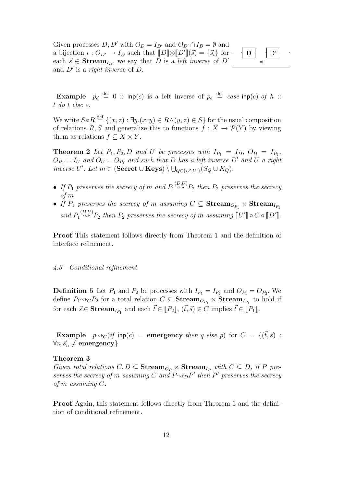

**Example**  $p_d \stackrel{\text{def}}{=} 0$  ::  $\text{inp}(c)$  is a left inverse of  $p_e \stackrel{\text{def}}{=} case \text{inp}(c)$  of h :: t do t else  $\varepsilon$ .

We write  $S \circ R \stackrel{\text{def}}{=} \{(x, z) : \exists y \cdot (x, y) \in R \land (y, z) \in S\}$  for the usual composition of relations R, S and generalize this to functions  $f: X \to \mathcal{P}(Y)$  by viewing them as relations  $f \subset X \times Y$ .

**Theorem 2** Let  $P_1, P_2, D$  and U be processes with  $I_{P_1} = I_D$ ,  $O_D = I_{P_2}$ ,  $O_{P_2} = I_U$  and  $O_U = O_{P_1}$  and such that D has a left inverse D' and U a right inverse U'. Let  $m \in (\textbf{Secret} \cup \textbf{Keys}) \setminus \bigcup_{Q \in \{D', U'\}} (S_Q \cup K_Q).$ 

- If  $P_1$  preserves the secrecy of m and  $P_1 \stackrel{(D,U)}{\sim} P_2$  then  $P_2$  preserves the secrecy of m.
- If  $P_1$  preserves the secrecy of m assuming  $C \subseteq \mathbf{Stream}_{O_{P_1}} \times \mathbf{Stream}_{I_{P_1}}$ and  $P_1 \stackrel{(D,U)}{\sim} P_2$  then  $P_2$  preserves the secrecy of m assuming  $[[U'] \circ C \circ [[D']$ .

Proof This statement follows directly from Theorem 1 and the definition of interface refinement.

#### 4.3 Conditional refinement

**Definition 5** Let  $P_1$  and  $P_2$  be processes with  $I_{P_1} = I_{P_2}$  and  $O_{P_1} = O_{P_2}$ . We define  $P_1 \sim_C P_2$  for a total relation  $C \subseteq \mathbf{Stream}_{O_{P_1}} \times \mathbf{Stream}_{I_{P_1}}$  to hold if for each  $\vec{s} \in \mathbf{Stream}_{I_{P_1}}$  and each  $\vec{t} \in [P_2]$ ,  $(\vec{t}, \vec{s}) \in C$  implies  $\vec{t} \in [P_1]$ .

Example  $p \rightarrow_{C} (if \text{ inp}(c) = \text{emergency} then q else p)$  for  $C = \{(\vec{t}, \vec{s}) :$  $\forall n.\vec{s}_n \neq \text{energy}.$ 

## Theorem 3

Given total relations  $C, D \subseteq \textbf{Stream}_{Op} \times \textbf{Stream}_{Ip}$  with  $C \subseteq D$ , if P preserves the secrecy of m assuming C and  $P \rightarrow D$  then P' preserves the secrecy of  $m$  assuming  $C$ .

Proof Again, this statement follows directly from Theorem 1 and the definition of conditional refinement.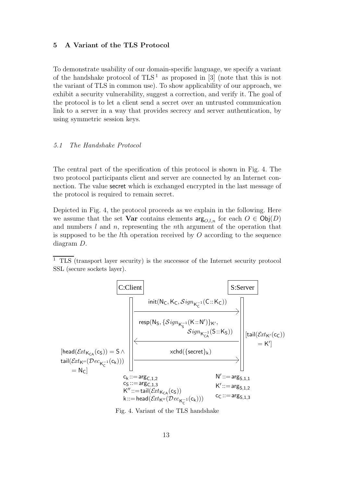## 5 A Variant of the TLS Protocol

To demonstrate usability of our domain-specific language, we specify a variant of the handshake protocol of  $TLS<sup>1</sup>$  as proposed in [3] (note that this is not the variant of TLS in common use). To show applicability of our approach, we exhibit a security vulnerability, suggest a correction, and verify it. The goal of the protocol is to let a client send a secret over an untrusted communication link to a server in a way that provides secrecy and server authentication, by using symmetric session keys.

## 5.1 The Handshake Protocol

The central part of the specification of this protocol is shown in Fig. 4. The two protocol participants client and server are connected by an Internet connection. The value secret which is exchanged encrypted in the last message of the protocol is required to remain secret.

Depicted in Fig. 4, the protocol proceeds as we explain in the following. Here we assume that the set **Var** contains elements  $arg_{Q,l,n}$  for each  $O \in Obj(D)$ and numbers  $l$  and  $n$ , representing the nth argument of the operation that is supposed to be the *l*th operation received by  $O$  according to the sequence diagram D.

<sup>1</sup> TLS (transport layer security) is the successor of the Internet security protocol SSL (secure sockets layer).



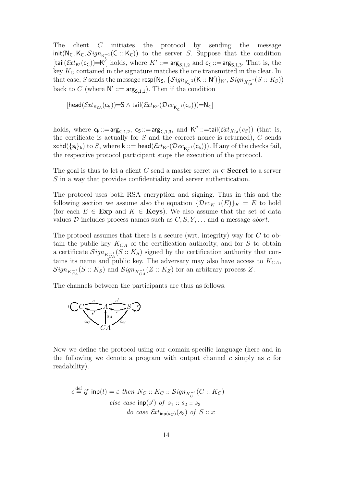The client  $C$  initiates the protocol by sending the message  $\text{init}(\mathsf{N}_{\mathsf{C}},\mathsf{K}_{\mathsf{C}},\mathcal{S}ign_{\mathsf{K}_{\mathsf{C}}^{-1}}(\mathsf{C}::\mathsf{K}_{\mathsf{C}}))$  to the server S. Suppose that the condition [tail $(\mathcal{E}xt_{K'}(c_{\mathsf{C}}))=K^{\prime}$ ] holds, where  $K':=arg_{S,1,2}$  and  $c_{\mathsf{C}}::=arg_{S,1,3}$ . That is, the key  $K_C$  contained in the signature matches the one transmitted in the clear. In that case,  $S$  sends the message  ${\sf resp}( {\sf N}_{{\sf S}},\{\mathcal{S}ign_{\sf K}_{\sf S}^{-1}({\sf K}::{\sf N}')\}_{\sf K'},\mathcal{S}ign_{\sf K}^{-1}_{\sf C{\sf A}}(S::K_S))$ back to C (where  $\mathsf{N}' ::= \arg_{\mathsf{S},1,1}$ ). Then if the condition

$$
[\mathsf{head}(\mathcal{E}\mathit{xt}_{\mathsf{K}_{\mathsf{CA}}}(\mathsf{c}_\mathsf{S}))\!\!=\!\!\mathsf{S} \land \mathsf{tail}(\mathcal{E}\mathit{xt}_{\mathsf{K}''}(\mathcal{D}\mathit{ec}_{\mathsf{K}_{\mathsf{C}}^{-1}}(\mathsf{c}_\mathsf{k})))\!\!=\!\!\mathsf{N}_{\mathsf{C}}]
$$

holds, where  $c_k ::= arg_{C,1,2}$ ,  $c_S ::= arg_{C,1,3}$ , and  $K'' ::= tail(\mathcal{E}xt_{K_{CA}}(c_S))$  (that is, the certificate is actually for S and the correct nonce is returned),  $C$  sends  $\textsf{xchd}(\{s_i\}_k)$  to  $S$ , where  $\mathsf{k} ::= \textsf{head}(\mathcal{E}xt_{\mathsf{K}''}(\mathcal{D}ec_{\mathsf{K}_{\mathsf{C}}^{-1}}(\mathsf{c}_\mathsf{k})))$ . If any of the checks fail, the respective protocol participant stops the execution of the protocol.

The goal is thus to let a client C send a master secret  $m \in \mathbf{Secret}$  to a server S in a way that provides confidentiality and server authentication.

The protocol uses both RSA encryption and signing. Thus in this and the following section we assume also the equation  $\{Dec_{K^{-1}}(E)\}_K = E$  to hold (for each  $E \in \text{Exp}$  and  $K \in \text{Keys}$ ). We also assume that the set of data values  $D$  includes process names such as  $C, S, Y, \ldots$  and a message abort.

The protocol assumes that there is a secure (wrt. integrity) way for C to obtain the public key  $K_{CA}$  of the certification authority, and for S to obtain a certificate  $\mathcal{S}ign_{K_{CA}^{-1}}(S::K_S)$  signed by the certification authority that contains its name and public key. The adversary may also have access to  $K_{CA}$ ,  $\mathcal{S}ign_{K_{CA}^{-1}}(S::K_S)$  and  $\mathcal{S}ign_{K_{CA}^{-1}}(Z::K_Z)$  for an arbitrary process Z.

The channels between the participants are thus as follows.



Now we define the protocol using our domain-specific language (here and in the following we denote a program with output channel  $c$  simply as  $c$  for readability).

$$
c \stackrel{\text{def}}{=} if \text{ inp}(l) = \varepsilon \text{ then } N_C :: K_C :: \mathcal{S}ign_{K_C^{-1}}(C :: K_C)
$$
  
else case  $\text{inp}(s')$  of  $s_1 :: s_2 :: s_3$   
do case  $\mathcal{E}xt_{\text{inp}(a_C)}(s_3)$  of  $S :: x$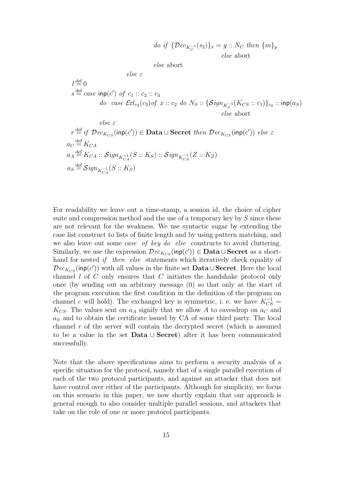$$
do if \{Dec_{K_C^{-1}}(s_2)\}_x = y :: N_C then \{m\}_y
$$
  
else abort

else abort

else ε  $l \stackrel{\text{def}}{=} 0$  $s \stackrel{\text{def}}{=} case \; \text{inp}(c') \; \text{of} \; c_1 :: c_2 :: c_3$ do case  $\mathcal{E}xt_{c_2}(c_3)$  of  $x::c_2$  do  $N_S::\{\mathcal{S}ign_{K_S^{-1}}(K_{CS}::c_1)\}_{c_2}::\mathsf{inp}(a_S)$ else abort

$$
else \varepsilon
$$
\n
$$
r \stackrel{\text{def}}{=} if \mathcal{D}ec_{K_{CS}}(\text{inp}(c')) \in \text{Data} \cup \text{Secret} \ then \mathcal{D}ec_{K_{CS}}(\text{inp}(c')) \ else \ \varepsilon
$$
\n
$$
a_C \stackrel{\text{def}}{=} K_{CA}
$$
\n
$$
a_A \stackrel{\text{def}}{=} K_{CA} :: \mathcal{Sign}_{K_{CA}^{-1}}(S :: K_S) :: \mathcal{Sign}_{K_{CA}^{-1}}(Z :: K_Z)
$$
\n
$$
a_S \stackrel{\text{def}}{=} \mathcal{Sign}_{K_{CA}^{-1}}(S :: K_S)
$$

For readability we leave out a time-stamp, a session id, the choice of cipher suite and compression method and the use of a temporary key by  $S$  since these are not relevant for the weakness. We use syntactic sugar by extending the case list construct to lists of finite length and by using pattern matching, and we also leave out some *case* of key do else constructs to avoid cluttering. Similarly, we use the expression  ${\cal D}ec_{K_{CS}}({\sf inp}(c')) \in {\bf Data} \cup {\bf Secret}$  as a shorthand for nested if then else statements which iteratively check equality of  ${\cal D}ec_{K_{CS}}({\sf inp}(c'))$  with all values in the finite set  ${\bf Data} \cup {\bf Secret}$ . Here the local channel  $l$  of  $C$  only ensures that  $C$  initiates the handshake protocol only once (by sending out an arbitrary message (0) so that only at the start of the program execution the first condition in the definition of the program on channel c will hold). The exchanged key is symmetric, i. e. we have  $K_{CS}^{-1}$  =  $K_{CS}$ . The values sent on  $a<sub>A</sub>$  signify that we allow A to eavesdrop on  $a<sub>C</sub>$  and  $a<sub>S</sub>$  and to obtain the certificate issued by CA of some third party. The local channel r of the server will contain the decrypted secret (which is assumed to be a value in the set Data ∪ Secret) after it has been communicated successfully.

Note that the above specifications aims to perform a security analysis of a specific situation for the protocol, namely that of a single parallel execution of each of the two protocol participants, and against an attacker that does not have control over either of the participants. Although for simplicity, we focus on this scenario in this paper, we now shortly explain that our approach is general enough to also consider multiple parallel sessions, and attackers that take on the role of one or more protocol participants.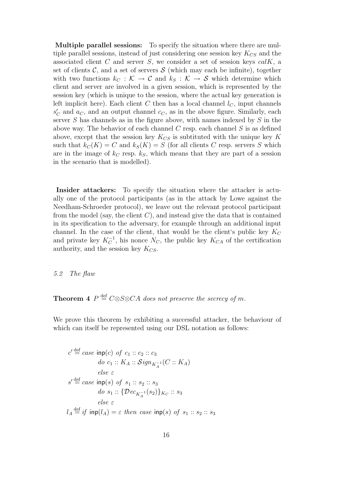Multiple parallel sessions: To specify the situation where there are multiple parallel sessions, instead of just considering one session key  $K_{CS}$  and the associated client  $C$  and server  $S$ , we consider a set of session keys  $cal K$ , a set of clients  $\mathcal{C}$ , and a set of servers  $\mathcal{S}$  (which may each be infinite), together with two functions  $k_C : \mathcal{K} \to \mathcal{C}$  and  $k_S : \mathcal{K} \to \mathcal{S}$  which determine which client and server are involved in a given session, which is represented by the session key (which is unique to the session, where the actual key generation is left implicit here). Each client C then has a local channel  $l_C$ , input channels  $s_C'$  and  $a_C$ , and an output channel  $c_C$ , as in the above figure. Similarly, each server  $S$  has channels as in the figure above, with names indexed by  $S$  in the above way. The behavior of each channel  $C$  resp. each channel  $S$  is as defined above, except that the session key  $K_{CS}$  is subtituted with the unique key K such that  $k_C(K) = C$  and  $k_S(K) = S$  (for all clients C resp. servers S which are in the image of  $k_C$  resp.  $k_S$ , which means that they are part of a session in the scenario that is modelled).

Insider attackers: To specify the situation where the attacker is actually one of the protocol participants (as in the attack by Lowe against the Needham-Schroeder protocol), we leave out the relevant protocol participant from the model (say, the client  $C$ ), and instead give the data that is contained in its specification to the adversary, for example through an additional input channel. In the case of the client, that would be the client's public key  $K_C$ and private key  $K_C^{-1}$ , his nonce  $N_C$ , the public key  $K_{CA}$  of the certification authority, and the session key  $K_{CS}$ .

## 5.2 The flaw

**Theorem 4**  $P \stackrel{\text{def}}{=} C \otimes S \otimes CA$  does not preserve the secrecy of m.

We prove this theorem by exhibiting a successful attacker, the behaviour of which can itself be represented using our DSL notation as follows:

$$
c' \stackrel{\text{def}}{=} case \text{ inp}(c) \text{ of } c_1 :: c_2 :: c_3
$$
  

$$
do \text{ } c_1 :: K_A :: \mathcal{Sign}_{K_A^{-1}}(C :: K_A))
$$
  

$$
else \text{ } \varepsilon
$$
  

$$
s' \stackrel{\text{def}}{=} case \text{ inp}(s) \text{ of } s_1 :: s_2 :: s_3
$$
  

$$
do \text{ } s_1 :: \{\mathcal{Dec}_{K_A^{-1}}(s_2)\}_{K_C} :: s_3
$$
  

$$
else \text{ } \varepsilon
$$
  

$$
l_A \stackrel{\text{def}}{=} if \text{ inp}(l_A) = \varepsilon \text{ then } case \text{ inp}(s) \text{ of } s_1 :: s_2 :: s_3
$$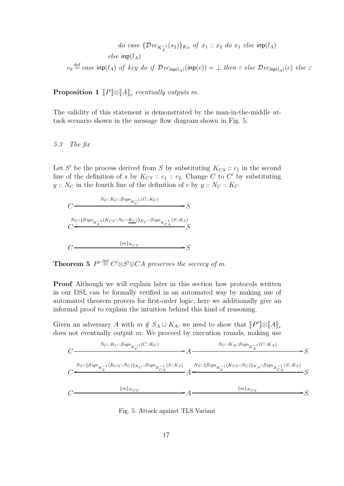$$
do\ case\ \{\mathcal{D}ec_{K_A^{-1}}(s_2)\}_{K_S}\ of\ x_1 :: x_2\ do\ x_1\ else\ \mathsf{inp}(l_A)
$$
\n
$$
e \text{ls}e\ \mathsf{inp}(l_A)
$$
\n
$$
c_0 \stackrel{\text{def}}{=} case\ \mathsf{inp}(l_A)\ of\ key\ do\ if\ \mathcal{D}ec_{\mathsf{inp}(l_A)}(\mathsf{inp}(c)) = \bot\ then\ \varepsilon\ else\ \mathcal{D}ec_{\mathsf{inp}(l_A)}(c)\ else\ \varepsilon
$$

**Proposition 1**  $\llbracket P \rrbracket \otimes \llbracket A \rrbracket_r$  eventually outputs m.

The validity of this statement is demonstrated by the man-in-the-middle attack scenario shown in the message flow diagram shown in Fig. 5.

## 5.3 The fix

Let S' be the process derived from S by substituting  $K_{CS}$ :  $c_1$  in the second line of the definition of s by  $K_{CS}$ :  $c_1$ :  $c_2$ . Change C to C' by substituting  $y :: N_C$  in the fourth line of the definition of c by  $y :: N_C :: K_C$ .



**Theorem 5**  $P' \stackrel{\text{def}}{=} C' \otimes S' \otimes CA$  preserves the secrecy of m.

Proof Although we will explain later in this section how protocols written in our DSL can be formally verified in an automated way by making use of automated theorem provers for first-order logic, here we additionally give an informal proof to explain the intuition behind this kind of reasoning.

Given an adversary A with  $m \notin S_A \cup K_A$ , we need to show that  $[[P']] \otimes [[A]]_r$ does not eventually output  $m$ . We proceed by execution rounds, making use

$$
C \longrightarrow A \longrightarrow K_{C::K_{A::}Sign_{K_{A}^{-1}}(C::K_{A})} \longrightarrow A \longrightarrow S
$$
  
\n
$$
C \longrightarrow K_{S::}\{Sign_{K_{S}^{-1}}(K_{CS::}N_{C})\}_{K_{C}:Sign_{K_{C}^{-1}}(S::K_{S})} \longrightarrow A \longrightarrow S
$$
  
\n
$$
C \longrightarrow K_{S::}\{Sign_{K_{C}^{-1}}(K_{CS::}N_{C})\}_{K_{A}::} \longrightarrow A \longrightarrow S
$$
  
\n
$$
C \longrightarrow K_{C_{S}}
$$
  
\n
$$
m_{K_{CS}}
$$
  
\n
$$
M \longrightarrow K_{C_{S}}
$$
  
\n
$$
m_{K_{CS}}
$$
  
\n
$$
M \longrightarrow K_{S}
$$
  
\n
$$
M_{K_{CS}}
$$
  
\n
$$
M \longrightarrow K_{S}
$$
  
\n
$$
M_{K_{CS}}
$$
  
\n
$$
M \longrightarrow K_{S}
$$
  
\n
$$
M_{K_{CS}}
$$
  
\n
$$
M \longrightarrow K_{S}
$$
  
\n
$$
M_{K_{CS}}
$$
  
\n
$$
M \longrightarrow K_{S}
$$

Fig. 5. Attack against TLS Variant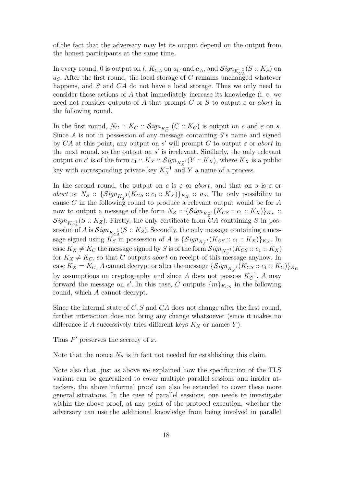of the fact that the adversary may let its output depend on the output from the honest participants at the same time.

In every round, 0 is output on  $l$ ,  $K_{CA}$  on  $a_C$  and  $a_A$ , and  $\mathcal{S}ign_{K_{CA}^{-1}}(S::K_S)$  on  $a<sub>S</sub>$ . After the first round, the local storage of C remains unchanged whatever happens, and  $S$  and  $CA$  do not have a local storage. Thus we only need to consider those actions of A that immediately increase its knowledge (i. e. we need not consider outputs of A that prompt C or S to output  $\varepsilon$  or abort in the following round.

In the first round,  $N_C :: K_C :: \mathcal{S}ign_{K_C^{-1}}(C :: K_C)$  is output on c and  $\varepsilon$  on s. Since  $A$  is not in possession of any message containing  $S$ 's name and signed by  $CA$  at this point, any output on s' will prompt C to output  $\varepsilon$  or abort in the next round, so the output on  $s'$  is irrelevant. Similarly, the only relevant output on c' is of the form  $c_1 :: K_X :: \mathcal{S}ign_{K_X^{-1}}(Y :: K_X)$ , where  $K_X$  is a public key with corresponding private key  $K_X^{-1}$  and Y a name of a process.

In the second round, the output on c is  $\varepsilon$  or abort, and that on s is  $\varepsilon$  or abort or  $N_S$ :: { $\mathcal{S}ign_{K_S^{-1}}(K_{CS}::c_1::K_X)\}_{K_X}$ ::  $a_S$ . The only possibility to cause C in the following round to produce a relevant output would be for A now to output a message of the form  $N_Z :: \{\mathcal{S}ign_{K_Z^{-1}}(K_{CS} :: c_1 :: K_X)\}_{K_X} ::$  $\mathcal{S}ign_{K_{CA}^{-1}}(S::K_Z)$ . Firstly, the only certificate from CA containing S in possession of A is  $\mathcal{S}ign_{K_{CA}^{-1}}(S::K_S)$ . Secondly, the only message containing a message signed using  $K_S$  in possession of A is  $\{\mathcal{S}ign_{K_S^{-1}}(K_{CS}::c_1::K_X)\}_{K_X}$ . In case  $K_X \neq K_C$  the message signed by  $S$  is of the form  $\mathcal{S}ign_{K_S^{-1}}(K_{CS}::c_1::K_X)$ for  $K_X \neq K_C$ , so that C outputs abort on receipt of this message anyhow. In case  $K_X = K_C, A$  cannot decrypt or alter the message  $\{\mathcal{S}ign_{K_S^{-1}}(K_{CS}::c_1::K_C)\}_{K_C}$ by assumptions on cryptography and since A does not possess  $K_C^{-1}$ . A may forward the message on s'. In this case, C outputs  $\{m\}_{K_{CS}}$  in the following round, which A cannot decrypt.

Since the internal state of C, S and CA does not change after the first round, further interaction does not bring any change whatsoever (since it makes no difference if A successively tries different keys  $K_X$  or names Y).

Thus  $P'$  preserves the secrecy of  $x$ .

Note that the nonce  $N<sub>S</sub>$  is in fact not needed for establishing this claim.

Note also that, just as above we explained how the specification of the TLS variant can be generalized to cover multiple parallel sessions and insider attackers, the above informal proof can also be extended to cover these more general situations. In the case of parallel sessions, one needs to investigate within the above proof, at any point of the protocol execution, whether the adversary can use the additional knowledge from being involved in parallel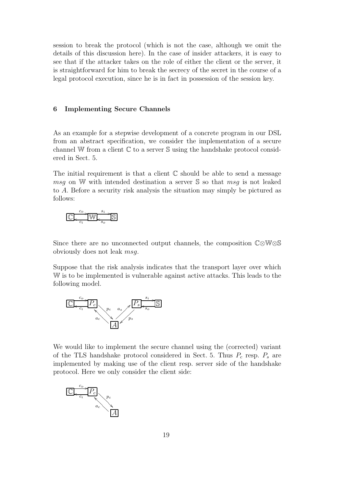session to break the protocol (which is not the case, although we omit the details of this discussion here). In the case of insider attackers, it is easy to see that if the attacker takes on the role of either the client or the server, it is straightforward for him to break the secrecy of the secret in the course of a legal protocol execution, since he is in fact in possession of the session key.

#### 6 Implementing Secure Channels

As an example for a stepwise development of a concrete program in our DSL from an abstract specification, we consider the implementation of a secure channel W from a client C to a server S using the handshake protocol considered in Sect. 5.

The initial requirement is that a client  $\mathbb C$  should be able to send a message msq on W with intended destination a server  $\mathcal S$  so that msq is not leaked to A. Before a security risk analysis the situation may simply be pictured as follows:

$$
\overbrace{\mathbb{C}}\xrightarrow[c_i]{c_o} \overbrace{\mathbb{W}}\xrightarrow[s_o]{s_i}
$$

Since there are no unconnected output channels, the composition C⊗W⊗S obviously does not leak msg.

Suppose that the risk analysis indicates that the transport layer over which W is to be implemented is vulnerable against active attacks. This leads to the following model.



We would like to implement the secure channel using the (corrected) variant of the TLS handshake protocol considered in Sect. 5. Thus  $P_c$  resp.  $P_s$  are implemented by making use of the client resp. server side of the handshake protocol. Here we only consider the client side:

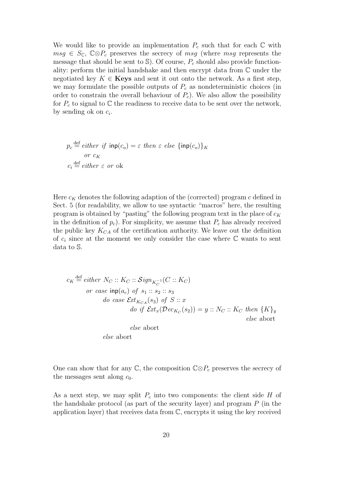We would like to provide an implementation  $P_c$  such that for each  $\mathbb C$  with  $msg \in S_{\mathbb{C}}, \mathbb{C} \otimes P_c$  preserves the secrecy of msg (where msg represents the message that should be sent to  $\mathcal{S}$ ). Of course,  $P_c$  should also provide functionality: perform the initial handshake and then encrypt data from C under the negotiated key  $K \in \mathbf{Keys}$  and sent it out onto the network. As a first step, we may formulate the possible outputs of  $P_c$  as nondeterministic choices (in order to constrain the overall behaviour of  $P_c$ ). We also allow the possibility for  $P_c$  to signal to  $\mathbb C$  the readiness to receive data to be sent over the network, by sending ok on  $c_i$ .

$$
p_c \stackrel{\text{def}}{=} either \text{ if } \text{inp}(c_o) = \varepsilon \text{ then } \varepsilon \text{ else } \{\text{inp}(c_o)\}_K
$$
  
or  $c_K$   
 $c_i \stackrel{\text{def}}{=} either \varepsilon \text{ or ok}$ 

Here  $c_K$  denotes the following adaption of the (corrected) program c defined in Sect. 5 (for readability, we allow to use syntactic "macros" here, the resulting program is obtained by "pasting" the following program text in the place of  $c_K$ in the definition of  $p_c$ ). For simplicity, we assume that  $P_c$  has already received the public key  $K_{CA}$  of the certification authority. We leave out the definition of  $c_i$  since at the moment we only consider the case where  $\mathbb C$  wants to sent data to S.

$$
c_K \stackrel{\text{def}}{=} either \ N_C :: K_C :: Sign_{K_C^{-1}}(C :: K_C)
$$
  
or case  $inp(a_c)$  of  $s_1 :: s_2 :: s_3$   
do case  $Ext_{K_{CA}}(s_3)$  of  $S :: x$   
do if  $Ext_x(Dec_{K_C}(s_2)) = y :: N_C :: K_C$  then  $\{K\}_y$   
else abort  
else abort

One can show that for any  $\mathbb{C}$ , the composition  $\mathbb{C} \otimes P_c$  preserves the secrecy of the messages sent along  $c_0$ .

As a next step, we may split  $P_c$  into two components: the client side H of the handshake protocol (as part of the security layer) and program  $P$  (in the application layer) that receives data from  $\mathbb{C}$ , encrypts it using the key received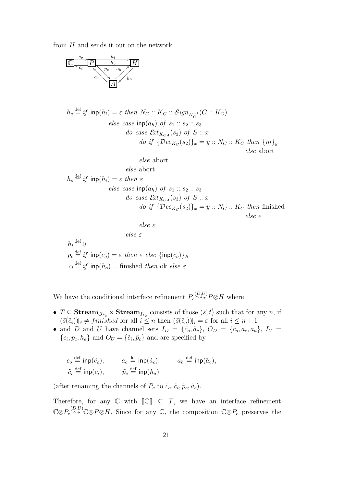from  $H$  and sends it out on the network:



$$
h_a \stackrel{\text{def}}{=} \text{if } \text{inp}(h_i) = \varepsilon \text{ then } N_C :: K_C :: \mathcal{Sign}_{K_C^{-1}}(C :: K_C)
$$
\n
$$
\text{else } \text{case } \text{inp}(a_h) \text{ of } s_1 :: s_2 :: s_3
$$
\n
$$
\text{do } \text{case } \mathcal{Ext}_{K_C A}(s_3) \text{ of } S :: x
$$
\n
$$
\text{do } \text{if } \{\mathcal{Dec}_{K_C}(s_2)\}_x = y :: N_C :: K_C \text{ then } \{m\}_y
$$
\n
$$
\text{else } \text{abort}
$$

else abort else abort

$$
h_o \stackrel{\text{def}}{=} if \text{ inp}(h_i) = \varepsilon \text{ then } \varepsilon
$$
\n
$$
\text{else case } \text{inp}(a_h) \text{ of } s_1 :: s_2 :: s_3
$$
\n
$$
\text{do case } \mathcal{E}xt_{K_{CA}}(s_3) \text{ of } S :: x
$$
\n
$$
\text{do if } \{\mathcal{D}ec_{K_C}(s_2)\}_x = y :: N_C :: K_C \text{ then finished}
$$
\n
$$
\text{else } \varepsilon
$$
\n
$$
h_i \stackrel{\text{def}}{=} 0
$$
\n
$$
p_c \stackrel{\text{def}}{=} if \text{ inp}(c_o) = \varepsilon \text{ then } \varepsilon \text{ else } \{\text{inp}(c_o)\}_K
$$
\n
$$
c_i \stackrel{\text{def}}{=} if \text{ inp}(h_o) = \text{finiished then ok else } \varepsilon
$$

We have the conditional interface refinement  $P_c \stackrel{(D,U)}{\sim_T} P \otimes H$  where

- $T \subseteq \textbf{Stream}_{O_{P_c}} \times \textbf{Stream}_{I_{P_c}}$  consists of those  $(\vec{s}, \vec{t})$  such that for any n, if  $(\overline{\vec{s}}(\tilde{c}_i))|_i \neq \text{finite}$  for all  $i \leq n$  then  $(\vec{s}(\tilde{c}_o))|_i = \varepsilon$  for all  $i \leq n+1$
- and D and U have channel sets  $I_D = {\tilde{c}_o, \tilde{a}_c}, O_D = {c_o, a_c, a_h}, I_U =$  $\{c_i, p_c, h_a\}$  and  $O_U = \{\tilde{c}_i, \tilde{p}_c\}$  and are specified by

$$
c_o \stackrel{\text{def}}{=} \mathsf{inp}(\tilde{c}_o), \qquad a_c \stackrel{\text{def}}{=} \mathsf{inp}(\tilde{a}_c), \qquad a_h \stackrel{\text{def}}{=} \mathsf{inp}(\tilde{a}_c),
$$
  

$$
\tilde{c}_i \stackrel{\text{def}}{=} \mathsf{inp}(c_i), \qquad \tilde{p}_c \stackrel{\text{def}}{=} \mathsf{inp}(h_a)
$$

(after renaming the channels of  $P_c$  to  $\tilde{c}_o, \tilde{c}_i, \tilde{p}_c, \tilde{a}_c$ ).

Therefore, for any  $\mathbb C$  with  $\mathbb C\mathbb C$   $\subseteq$  T, we have an interface refinement  $\mathbb{C}\otimes P_c\stackrel{(D,U)}{\sim}\mathbb{C}\otimes P\otimes H$ . Since for any  $\mathbb{C}$ , the composition  $\mathbb{C}\otimes P_c$  preserves the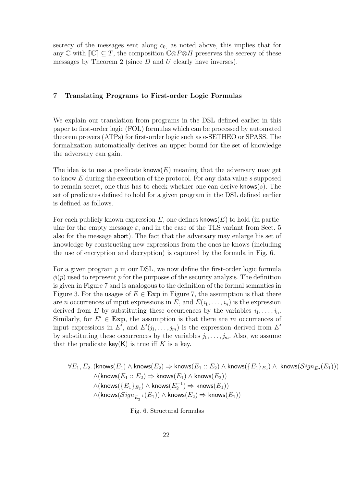secrecy of the messages sent along  $c_0$ , as noted above, this implies that for any  $\mathbb{C}$  with  $\mathbb{C} \subseteq T$ , the composition  $\mathbb{C} \otimes P \otimes H$  preserves the secrecy of these messages by Theorem 2 (since D and U clearly have inverses).

## 7 Translating Programs to First-order Logic Formulas

We explain our translation from programs in the DSL defined earlier in this paper to first-order logic (FOL) formulas which can be processed by automated theorem provers (ATPs) for first-order logic such as e-SETHEO or SPASS. The formalization automatically derives an upper bound for the set of knowledge the adversary can gain.

The idea is to use a predicate **knows** $(E)$  meaning that the adversary may get to know E during the execution of the protocol. For any data value s supposed to remain secret, one thus has to check whether one can derive knows(s). The set of predicates defined to hold for a given program in the DSL defined earlier is defined as follows.

For each publicly known expression  $E$ , one defines knows(E) to hold (in particular for the empty message  $\varepsilon$ , and in the case of the TLS variant from Sect. 5 also for the message abort). The fact that the adversary may enlarge his set of knowledge by constructing new expressions from the ones he knows (including the use of encryption and decryption) is captured by the formula in Fig. 6.

For a given program  $p$  in our DSL, we now define the first-order logic formula  $\phi(p)$  used to represent p for the purposes of the security analysis. The definition is given in Figure 7 and is analogous to the definition of the formal semantics in Figure 3. For the usages of  $E \in \text{Exp}$  in Figure 7, the assumption is that there are *n* occurrences of input expressions in E, and  $E(i_1, \ldots, i_n)$  is the expression derived from E by substituting these occurrences by the variables  $i_1, \ldots, i_n$ . Similarly, for  $E' \in \textbf{Exp}$ , the assumption is that there are m occurrences of input expressions in E', and  $E'(j_1,\ldots,j_m)$  is the expression derived from E' by substituting these occurrences by the variables  $j_1, \ldots, j_m$ . Also, we assume that the predicate key(K) is true iff K is a key.

$$
\forall E_1, E_2. \ (\mathsf{knows}(E_1) \land \mathsf{knows}(E_2) \Rightarrow \mathsf{knows}(E_1 :: E_2) \land \mathsf{knows}(\{E_1\}_{E_2}) \land \mathsf{knows}(\mathcal{Sign}_{E_2}(E_1))) \\ \land (\mathsf{knows}(E_1 :: E_2) \Rightarrow \mathsf{knows}(E_1) \land \mathsf{knows}(E_2)) \\ \land (\mathsf{knows}(\{E_1\}_{E_2}) \land \mathsf{knows}(E_2^{-1}) \Rightarrow \mathsf{knows}(E_1)) \\ \land (\mathsf{knows}(\mathcal{Sign}_{E_2^{-1}}(E_1)) \land \mathsf{knows}(E_2) \Rightarrow \mathsf{knows}(E_1)) \\
$$

Fig. 6. Structural formulas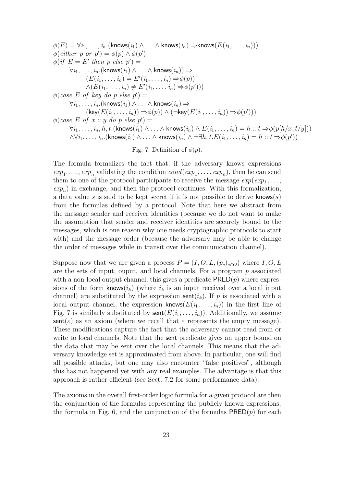$\phi(E) = \forall i_1, \ldots, i_n$ . (knows $(i_1) \wedge \ldots \wedge$  knows $(i_n) \Rightarrow$ knows $(E(i_1, \ldots, i_n)))$  $\phi(either\ p\ or\ p') = \phi(p) \wedge \phi(p')$  $\phi(if E = E' \ then \ p \ else \ p') =$  $\forall i_1, \ldots, i_n$ .(knows $(i_1) \wedge \ldots \wedge$  knows $(i_n)$ ) ⇒  $(E(i_1,\ldots,i_n)=E'(i_1,\ldots,i_n)\Rightarrow\phi(p))$  $\wedge (E(i_1,\ldots,i_n) \neq E'(i_1,\ldots,i_n) \Rightarrow \phi(p'))$  $\phi(\text{case } E \text{ of } \text{key } \text{do } p \text{ else } p') =$  $\forall i_1, \ldots, i_n$ . (knows $(i_1) \wedge \ldots \wedge$  knows $(i_n) \Rightarrow$  $(\mathsf{key}(E(i_1,\ldots,i_n))\Rightarrow\phi(p))\wedge(\neg\mathsf{key}(E(i_1,\ldots,i_n))\Rightarrow\phi(p')))$  $\phi(\text{case } E \text{ of } x::y \text{ do } p \text{ else } p') =$  $\forall i_1, \ldots, i_n, \tilde{h}, t.$  (knows $(i_1) \wedge \ldots \wedge$  knows $(i_n) \wedge E(i_1, \ldots, i_n) = h :: t \Rightarrow \phi(p[h/x, t/y]))$  $\wedge \forall i_1, \ldots, i_n.$ (knows $(i_1) \wedge \ldots \wedge$  knows $(i_n) \wedge \neg \exists h, t. E(i_1, \ldots, i_n) = h :: t \Rightarrow \phi(p'))$ 

## Fig. 7. Definition of  $\phi(p)$ .

The formula formalizes the fact that, if the adversary knows expressions  $exp_1, \ldots, exp_n$  validating the condition  $cond(exp_1, \ldots, exp_n)$ , then he can send them to one of the protocol participants to receive the message  $exp(exp_1, \ldots,$  $exp_n$ ) in exchange, and then the protocol continues. With this formalization, a data value s is said to be kept secret if it is not possible to derive knows(s) from the formulas defined by a protocol. Note that here we abstract from the message sender and receiver identities (because we do not want to make the assumption that sender and receiver identities are securely bound to the messages, which is one reason why one needs cryptographic protocols to start with) and the message order (because the adversary may be able to change the order of messages while in transit over the communication channel).

Suppose now that we are given a process  $P = (I, O, L, (p_c)_{c \in O})$  where  $I, O, L$ are the sets of input, ouput, and local channels. For a program  $p$  associated with a non-local output channel, this gives a predicate  $\mathsf{PRED}(p)$  where expressions of the form knows $(i_k)$  (where  $i_k$  is an input received over a local input channel) are substituted by the expression  $\text{sent}(i_k)$ . If p is associated with a local output channel, the expression knows $(E(i_1, \ldots, i_n))$  in the first line of Fig. 7 is similarly substituted by  $\textsf{sent}(E(i_1, \ldots, i_n))$ . Additionally, we assume  $\textsf{sent}(\varepsilon)$  as an axiom (where we recall that  $\varepsilon$  represents the empty message). These modifications capture the fact that the adversary cannot read from or write to local channels. Note that the sent predicate gives an upper bound on the data that may be sent over the local channels. This means that the adversary knowledge set is approximated from above. In particular, one will find all possible attacks, but one may also encounter "false positives", although this has not happened yet with any real examples. The advantage is that this approach is rather efficient (see Sect. 7.2 for some performance data).

The axioms in the overall first-order logic formula for a given protocol are then the conjunction of the formulas representing the publicly known expressions, the formula in Fig. 6, and the conjunction of the formulas  $PRED(p)$  for each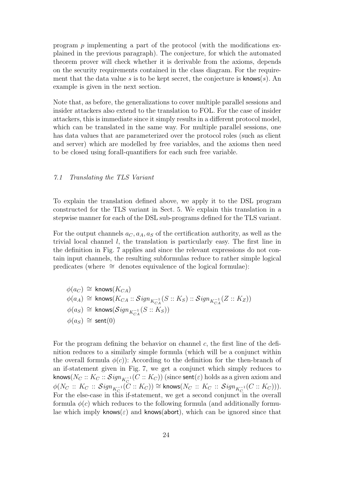program  $p$  implementing a part of the protocol (with the modifications explained in the previous paragraph). The conjecture, for which the automated theorem prover will check whether it is derivable from the axioms, depends on the security requirements contained in the class diagram. For the requirement that the data value s is to be kept secret, the conjecture is  $\mathsf{knows}(s)$ . An example is given in the next section.

Note that, as before, the generalizations to cover multiple parallel sessions and insider attackers also extend to the translation to FOL. For the case of insider attackers, this is immediate since it simply results in a different protocol model, which can be translated in the same way. For multiple parallel sessions, one has data values that are parameterized over the protocol roles (such as client and server) which are modelled by free variables, and the axioms then need to be closed using forall-quantifiers for each such free variable.

## 7.1 Translating the TLS Variant

To explain the translation defined above, we apply it to the DSL program constructed for the TLS variant in Sect. 5. We explain this translation in a stepwise manner for each of the DSL sub-programs defined for the TLS variant.

For the output channels  $a_C, a_A, a_S$  of the certification authority, as well as the trivial local channel l, the translation is particularly easy. The first line in the definition in Fig. 7 applies and since the relevant expressions do not contain input channels, the resulting subformulas reduce to rather simple logical predicates (where  $\approx$  denotes equivalence of the logical formulae):

$$
\phi(a_C) \cong \text{knows}(K_{CA})
$$
\n
$$
\phi(a_A) \cong \text{knows}(K_{CA} :: \mathcal{S}ign_{K_{CA}^{-1}}(S :: K_S) :: \mathcal{S}ign_{K_{CA}^{-1}}(Z :: K_Z))
$$
\n
$$
\phi(a_S) \cong \text{knows}(\mathcal{S}ign_{K_{CA}^{-1}}(S :: K_S))
$$
\n
$$
\phi(a_S) \cong \text{sent}(0)
$$

For the program defining the behavior on channel  $c$ , the first line of the definition reduces to a similarly simple formula (which will be a conjunct within the overall formula  $\phi(c)$ : According to the definition for the then-branch of an if-statement given in Fig. 7, we get a conjunct which simply reduces to knows $(N_C::K_C::\mathcal{S}ign_{K_C^{-1}}(C::K_C))$  (since  $\mathsf{sent}(\varepsilon)$  holds as a given axiom and  $\phi(N_C\,::\, K_C\,::\, \mathcal{S}ign_{K_C^{-1}}(\overset{\cup}{C}::K_C))\cong \mathsf{knows}(N_C\,::\, K_C\,::\, \mathcal{S}ign_{K_C^{-1}}(C::K_C))).$ For the else-case in this if-statement, we get a second conjunct in the overall formula  $\phi(c)$  which reduces to the following formula (and additionally formulae which imply knows( $\varepsilon$ ) and knows(abort), which can be ignored since that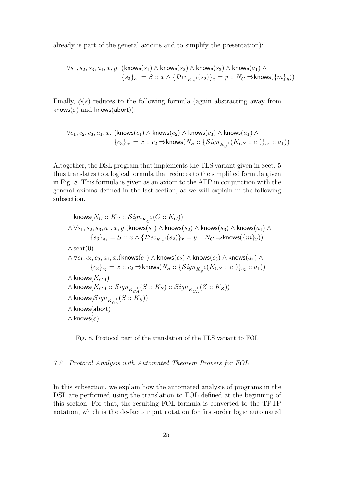already is part of the general axioms and to simplify the presentation):

$$
\forall s_1, s_2, s_3, a_1, x, y. \ (\text{knows}(s_1) \land \text{knows}(s_2) \land \text{knows}(s_3) \land \text{knows}(a_1) \land \{s_3\}_{a_1} = S :: x \land \{\mathcal{D}ec_{K_C^{-1}}(s_2)\}_x = y :: N_C \Rightarrow \text{knows}(\{m\}_y))
$$

Finally,  $\phi(s)$  reduces to the following formula (again abstracting away from knows( $\varepsilon$ ) and knows(abort)):

$$
\forall c_1, c_2, c_3, a_1, x. \ (\mathsf{knows}(c_1) \land \mathsf{knows}(c_2) \land \mathsf{knows}(c_3) \land \mathsf{knows}(a_1) \land \{c_3\}_{c_2} = x :: c_2 \Rightarrow \mathsf{knows}(N_S :: \{\mathcal{Sign}_{K_S^{-1}}(K_{CS} :: c_1)\}_{c_2} :: a_1))
$$

Altogether, the DSL program that implements the TLS variant given in Sect. 5 thus translates to a logical formula that reduces to the simplified formula given in Fig. 8. This formula is given as an axiom to the ATP in conjunction with the general axioms defined in the last section, as we will explain in the following subsection.

$$
\begin{aligned} &\text{knows}(N_C::K_C::Sign_{K_C^{-1}}(C::K_C))\\ &\wedge \forall s_1, s_2, s_3, a_1, x, y.(\text{knows}(s_1) \wedge \text{knows}(s_2) \wedge \text{knows}(s_3) \wedge \text{knows}(a_1) \wedge\\ &\{s_3\}_{a_1}=S::x \wedge \{\mathcal{D}ec_{K_C^{-1}}(s_2)\}_x=y::N_C \Rightarrow \text{knows}(\{m\}_y))\\ &\wedge\text{sent}(0)\\ &\wedge \forall c_1, c_2, c_3, a_1, x.(\text{knows}(c_1) \wedge \text{knows}(c_2) \wedge \text{knows}(c_3) \wedge \text{knows}(a_1) \wedge\\ &\{c_3\}_{c_2}=x::c_2\Rightarrow \text{knows}(N_S::\{\mathcal{S}ign_{K_S^{-1}}(K_{CS}::c_1)\}_{c_2}::a_1))\\ &\wedge \text{knows}(K_{CA})\\ &\wedge \text{knows}(\mathcal{S}ign_{K_{CA}^{-1}}(S::K_S)::\mathcal{S}ign_{K_{CA}^{-1}}(Z::K_Z))\\ &\wedge \text{knows}(\text{short})\\ &\wedge \text{knows}(c_2)\\ &\wedge \text{knows}(c_3)\\ &\wedge \text{knows}(c_4))\\ \end{aligned}
$$

Fig. 8. Protocol part of the translation of the TLS variant to FOL

## 7.2 Protocol Analysis with Automated Theorem Provers for FOL

In this subsection, we explain how the automated analysis of programs in the DSL are performed using the translation to FOL defined at the beginning of this section. For that, the resulting FOL formula is converted to the TPTP notation, which is the de-facto input notation for first-order logic automated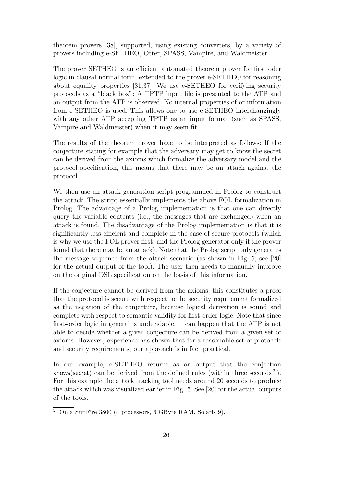theorem provers [38], supported, using existing converters, by a variety of provers including e-SETHEO, Otter, SPASS, Vampire, and Waldmeister.

The prover SETHEO is an efficient automated theorem prover for first oder logic in clausal normal form, extended to the prover e-SETHEO for reasoning about equality properties [31,37]. We use e-SETHEO for verifying security protocols as a "black box": A TPTP input file is presented to the ATP and an output from the ATP is observed. No internal properties of or information from e-SETHEO is used. This allows one to use e-SETHEO interchangingly with any other ATP accepting TPTP as an input format (such as SPASS, Vampire and Waldmeister) when it may seem fit.

The results of the theorem prover have to be interpreted as follows: If the conjecture stating for example that the adversary may get to know the secret can be derived from the axioms which formalize the adversary model and the protocol specification, this means that there may be an attack against the protocol.

We then use an attack generation script programmed in Prolog to construct the attack. The script essentially implements the above FOL formalization in Prolog. The advantage of a Prolog implementation is that one can directly query the variable contents (i.e., the messages that are exchanged) when an attack is found. The disadvantage of the Prolog implementation is that it is significantly less efficient and complete in the case of secure protocols (which is why we use the FOL prover first, and the Prolog generator only if the prover found that there may be an attack). Note that the Prolog script only generates the message sequence from the attack scenario (as shown in Fig. 5; see [20] for the actual output of the tool). The user then needs to manually improve on the original DSL specification on the basis of this information.

If the conjecture cannot be derived from the axioms, this constitutes a proof that the protocol is secure with respect to the security requirement formalized as the negation of the conjecture, because logical derivation is sound and complete with respect to semantic validity for first-order logic. Note that since first-order logic in general is undecidable, it can happen that the ATP is not able to decide whether a given conjecture can be derived from a given set of axioms. However, experience has shown that for a reasonable set of protocols and security requirements, our approach is in fact practical.

In our example, e-SETHEO returns as an output that the conjection knows(secret) can be derived from the defined rules (within three seconds<sup>2</sup>). For this example the attack tracking tool needs around 20 seconds to produce the attack which was visualized earlier in Fig. 5. See [20] for the actual outputs of the tools.

<sup>2</sup> On a SunFire 3800 (4 processors, 6 GByte RAM, Solaris 9).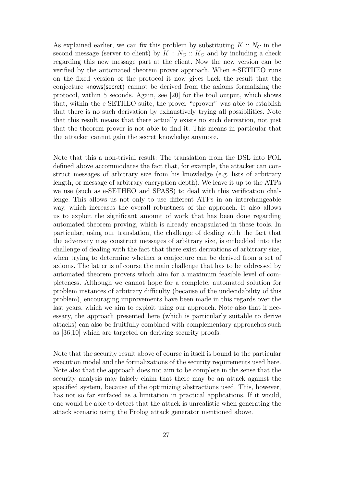As explained earlier, we can fix this problem by substituting  $K :: N<sub>C</sub>$  in the second message (server to client) by  $K :: N_C :: K_C$  and by including a check regarding this new message part at the client. Now the new version can be verified by the automated theorem prover approach. When e-SETHEO runs on the fixed version of the protocol it now gives back the result that the conjecture knows(secret) cannot be derived from the axioms formalizing the protocol, within 5 seconds. Again, see [20] for the tool output, which shows that, within the e-SETHEO suite, the prover "eprover" was able to establish that there is no such derivation by exhaustively trying all possibilities. Note that this result means that there actually exists no such derivation, not just that the theorem prover is not able to find it. This means in particular that the attacker cannot gain the secret knowledge anymore.

Note that this a non-trivial result: The translation from the DSL into FOL defined above accommodates the fact that, for example, the attacker can construct messages of arbitrary size from his knowledge (e.g. lists of arbitrary length, or message of arbitrary encryption depth). We leave it up to the ATPs we use (such as e-SETHEO and SPASS) to deal with this verification challenge. This allows us not only to use different ATPs in an interchangeable way, which increases the overall robustness of the approach. It also allows us to exploit the significant amount of work that has been done regarding automated theorem proving, which is already encapsulated in these tools. In particular, using our translation, the challenge of dealing with the fact that the adversary may construct messages of arbitrary size, is embedded into the challenge of dealing with the fact that there exist derivations of arbitrary size, when trying to determine whether a conjecture can be derived from a set of axioms. The latter is of course the main challenge that has to be addressed by automated theorem provers which aim for a maximum feasible level of completeness. Although we cannot hope for a complete, automated solution for problem instances of arbitrary difficulty (because of the undecidability of this problem), encouraging improvements have been made in this regards over the last years, which we aim to exploit using our approach. Note also that if necessary, the approach presented here (which is particularly suitable to derive attacks) can also be fruitfully combined with complementary approaches such as [36,10] which are targeted on deriving security proofs.

Note that the security result above of course in itself is bound to the particular execution model and the formalizations of the security requirements used here. Note also that the approach does not aim to be complete in the sense that the security analysis may falsely claim that there may be an attack against the specified system, because of the optimizing abstractions used. This, however, has not so far surfaced as a limitation in practical applications. If it would, one would be able to detect that the attack is unrealistic when generating the attack scenario using the Prolog attack generator mentioned above.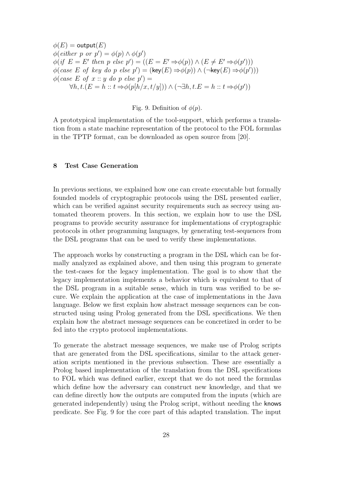$\phi(E) =$  output $(E)$  $\phi(either\ p\ or\ p') = \phi(p) \wedge \phi(p')$  $\phi(if E = E' \text{ then } p \text{ else } p') = ((E = E' \Rightarrow \phi(p)) \land (E \neq E' \Rightarrow \phi(p')))$  $\phi(\text{case } E \text{ of } \text{key } \text{do } p \text{ else } p') = (\text{key}(E) \Rightarrow \phi(p)) \land (\neg \text{key}(E) \Rightarrow \phi(p')))$  $\phi(\text{case } E \text{ of } x :: y \text{ do } p \text{ else } p') =$  $\forall h, t. (E = h :: t \Rightarrow \phi(p[h/x, t/y])) \land (\neg \exists h, t.E = h :: t \Rightarrow \phi(p'))$ 

## Fig. 9. Definition of  $\phi(p)$ .

A prototypical implementation of the tool-support, which performs a translation from a state machine representation of the protocol to the FOL formulas in the TPTP format, can be downloaded as open source from [20].

#### 8 Test Case Generation

In previous sections, we explained how one can create executable but formally founded models of cryptographic protocols using the DSL presented earlier, which can be verified against security requirements such as secrecy using automated theorem provers. In this section, we explain how to use the DSL programs to provide security assurance for implementations of cryptographic protocols in other programming languages, by generating test-sequences from the DSL programs that can be used to verify these implementations.

The approach works by constructing a program in the DSL which can be formally analyzed as explained above, and then using this program to generate the test-cases for the legacy implementation. The goal is to show that the legacy implementation implements a behavior which is equivalent to that of the DSL program in a suitable sense, which in turn was verified to be secure. We explain the application at the case of implementations in the Java language. Below we first explain how abstract message sequences can be constructed using using Prolog generated from the DSL specifications. We then explain how the abstract message sequences can be concretized in order to be fed into the crypto protocol implementations.

To generate the abstract message sequences, we make use of Prolog scripts that are generated from the DSL specifications, similar to the attack generation scripts mentioned in the previous subsection. These are essentially a Prolog based implementation of the translation from the DSL specifications to FOL which was defined earlier, except that we do not need the formulas which define how the adversary can construct new knowledge, and that we can define directly how the outputs are computed from the inputs (which are generated independently) using the Prolog script, without needing the knows predicate. See Fig. 9 for the core part of this adapted translation. The input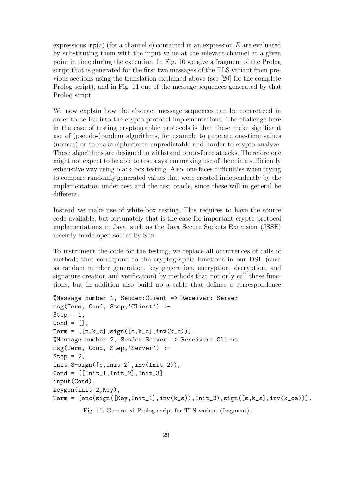expressions  $\text{inp}(c)$  (for a channel c) contained in an expression E are evaluated by substituting them with the input value at the relevant channel at a given point in time during the execution. In Fig. 10 we give a fragment of the Prolog script that is generated for the first two messages of the TLS variant from previous sections using the translation explained above (see [20] for the complete Prolog script), and in Fig. 11 one of the message sequences generated by that Prolog script.

We now explain how the abstract message sequences can be concretized in order to be fed into the crypto protocol implementations. The challenge here in the case of testing cryptographic protocols is that these make significant use of (pseudo-)random algorithms, for example to generate one-time values (nonces) or to make ciphertexts unpredictable and harder to crypto-analyze. These algorithms are designed to withstand brute-force attacks. Therefore one might not expect to be able to test a system making use of them in a sufficiently exhaustive way using black-box testing. Also, one faces difficulties when trying to compare randomly generated values that were created independently by the implementation under test and the test oracle, since these will in general be different.

Instead we make use of white-box testing. This requires to have the source code available, but fortunately that is the case for important crypto-protocol implementations in Java, such as the Java Secure Sockets Extension (JSSE) recently made open-source by Sun.

To instrument the code for the testing, we replace all occurrences of calls of methods that correspond to the cryptographic functions in our DSL (such as random number generation, key generation, encryption, decryption, and signature creation and verification) by methods that not only call these functions, but in addition also build up a table that defines a correspondence

```
%Message number 1, Sender:Client => Receiver: Server
msg(Term, Cond, Step,'Client') :-
Step = 1,
Cond = [],
Term = [[n,k_c], sign([c,k_c],inv(k_c))].
%Message number 2, Sender:Server => Receiver: Client
msg(Term, Cond, Step,'Server') :-
Step = 2,
Init_3=sign([c,Init_2],inv(Init_2)),
Cond = [[Init_1,Init_2],Init_3],input(Cond),
keygen(Init_2,Key),
Term = [enc(sign([Key,Init_1],inv(k_s)),Init_2),sign([s,k_s],inv(k_ca))].
```
Fig. 10. Generated Prolog script for TLS variant (fragment).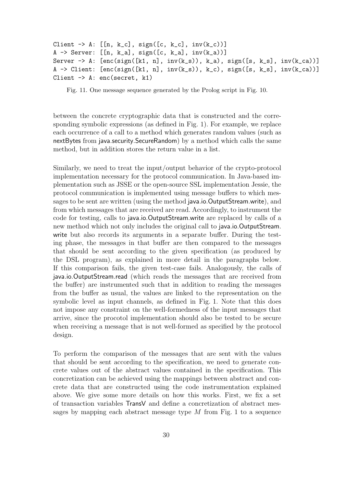```
Client \rightarrow A: [[n, k_c], sign([c, k_c], inv(k_c))]
A \rightarrow Server: [[n, k_a], sign([c, k_a], inv(k_a))]
Server \rightarrow A: [enc(sign([k1, n], inv(k_s)), k_a), sign([s, k_s], inv(k_ca))]
A \rightarrow Client: [enc(sign([k1, n], inv(k_s)), k_c), sign([s, k_s], inv(k_ca))]
Client -> A: enc(secret, k1)
```
Fig. 11. One message sequence generated by the Prolog script in Fig. 10.

between the concrete cryptographic data that is constructed and the corresponding symbolic expressions (as defined in Fig. 1). For example, we replace each occurrence of a call to a method which generates random values (such as nextBytes from java.security.SecureRandom) by a method which calls the same method, but in addition stores the return value in a list.

Similarly, we need to treat the input/output behavior of the crypto-protocol implementation necessary for the protocol communication. In Java-based implementation such as JSSE or the open-source SSL implementation Jessie, the protocol communication is implemented using message buffers to which messages to be sent are written (using the method java.io.OutputStream.write), and from which messages that are received are read. Accordingly, to instrument the code for testing, calls to java.io.OutputStream.write are replaced by calls of a new method which not only includes the original call to java.io.OutputStream. write but also records its arguments in a separate buffer. During the testing phase, the messages in that buffer are then compared to the messages that should be sent according to the given specification (as produced by the DSL program), as explained in more detail in the paragraphs below. If this comparison fails, the given test-case fails. Analogously, the calls of java.io.OutputStream.read (which reads the messages that are received from the buffer) are instrumented such that in addition to reading the messages from the buffer as usual, the values are linked to the representation on the symbolic level as input channels, as defined in Fig. 1. Note that this does not impose any constraint on the well-formedness of the input messages that arrive, since the procotol implementation should also be tested to be secure when receiving a message that is not well-formed as specified by the protocol design.

To perform the comparison of the messages that are sent with the values that should be sent according to the specification, we need to generate concrete values out of the abstract values contained in the specification. This concretization can be achieved using the mappings between abstract and concrete data that are constructed using the code instrumentation explained above. We give some more details on how this works. First, we fix a set of transaction variables TransV and define a concretization of abstract messages by mapping each abstract message type  $M$  from Fig. 1 to a sequence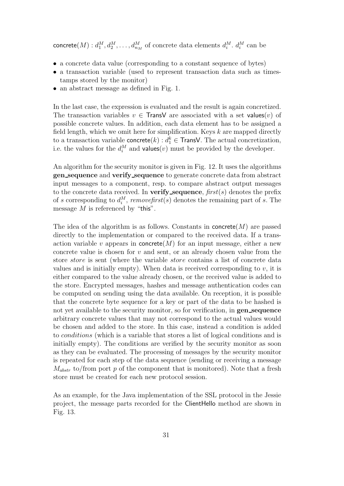$\mathsf{concrete}(M) : d_1^M, d_2^M, \ldots, d_{n_M}^M$  of concrete data elements  $d_i^M.~d_i^M$  can be

- a concrete data value (corresponding to a constant sequence of bytes)
- a transaction variable (used to represent transaction data such as timestamps stored by the monitor)
- an abstract message as defined in Fig. 1.

In the last case, the expression is evaluated and the result is again concretized. The transaction variables  $v \in$  TransV are associated with a set values(v) of possible concrete values. In addition, each data element has to be assigned a field length, which we omit here for simplification. Keys  $k$  are mapped directly to a transaction variable concrete $(k)$ :  $d_1^k \in$  TransV. The actual concretization, i.e. the values for the  $d_i^M$  and **values** $(v)$  must be provided by the developer.

An algorithm for the security monitor is given in Fig. 12. It uses the algorithms gen sequence and verify sequence to generate concrete data from abstract input messages to a component, resp. to compare abstract output messages to the concrete data received. In verify sequence,  $first(s)$  denotes the prefix of s corresponding to  $d_i^M$ , remove first $(s)$  denotes the remaining part of s. The message  $M$  is referenced by "this".

The idea of the algorithm is as follows. Constants in concrete $(M)$  are passed directly to the implementation or compared to the received data. If a transaction variable v appears in concrete(M) for an input message, either a new concrete value is chosen for  $v$  and sent, or an already chosen value from the store *store* is sent (where the variable *store* contains a list of concrete data values and is initially empty). When data is received corresponding to  $v$ , it is either compared to the value already chosen, or the received value is added to the store. Encrypted messages, hashes and message authentication codes can be computed on sending using the data available. On reception, it is possible that the concrete byte sequence for a key or part of the data to be hashed is not yet available to the security monitor, so for verification, in gen\_sequence arbitrary concrete values that may not correspond to the actual values would be chosen and added to the store. In this case, instead a condition is added to conditions (which is a variable that stores a list of logical conditions and is initially empty). The conditions are verified by the security monitor as soon as they can be evaluated. The processing of messages by the security monitor is repeated for each step of the data sequence (sending or receiving a message  $M_{abstr}$  to/from port p of the component that is monitored). Note that a fresh store must be created for each new protocol session.

As an example, for the Java implementation of the SSL protocol in the Jessie project, the message parts recorded for the ClientHello method are shown in Fig. 13.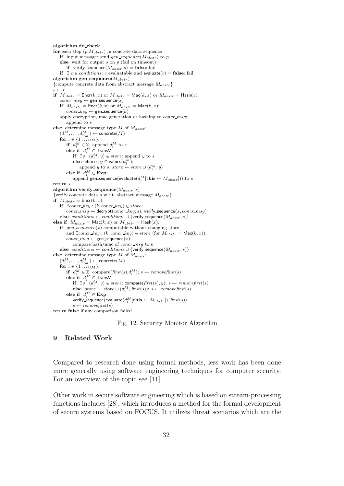```
algorithm do check
for each step (p, M_{abstr}) in concrete data sequence
    if input message: send gen_sequence(M_{abstr}) to p
    else wait for output s on p (fail on timeout)
        if verify sequence(M_{abstr},s) = false: fail
    if ∃ c ∈ conditions: c evaluatable and evaluate(c) = false: fail
algorithm gen_sequence(M_{abstr})
{compute concrete data from abstract message M_{abstr}}
s \leftarrow \epsilonif M_{abstr} = \text{Encr}(k, x) or M_{abstr} = \text{Mac}(k, x) or M_{abstr} = \text{Hash}(x):
    concr\_msg \leftarrow \texttt{gen\_sequence}(x)if M_{abstr} = \text{Encr}(k, x) or M_{abstr} = \text{Mac}(k, x):
        concr \; key \leftarrow \text{gen\_sequence}(k)apply encryption, mac generation or hashing to concr_msg;
        append to s
else determine message type M of M_{abstr};
    (d_1^M, \ldots, d_{n_M}^M) \leftarrow \text{concrete}(M)for i \in \{1 \dots n_M\}:<br>
if d_i^M \in \mathbb{Z}: append d_i^M to s<br>
else if d_i^M \in \text{TransV}:
             if \exists y \in (d_i^M, y) \in store: append y to s<br>
else choose y \in \text{values}(d_i^M);<br>
append y to s, store ← store ∪ (d_i^M, y)else if d_i^M \in \mathbf{Exp}:
             \textrm{append} gen_sequence(evaluate(d_i^M[\textrm{\textbf{this}} \leftarrow M_{abstr}])) to sreturn s
algorithm verify sequence (M_{abstr}, s){verify concrete data s w.r.t. abstract message M_{abstr}}
if M_{abstr} = \text{Encr}(k, x):
    if \exists concr \; key : (k, concr \; key) \in store:concr_msg \leftarrow decrypt(concr\_key, s); verify_sequence(x, concr\_msg)else conditions \leftarrow conditions \cup \{verify\_sequence(M_{abstr}, s)\}else if M_{abstr} = \text{Mac}(k, x) or M_{abstr} = \text{Hash}(x):
    if gen\_sequence(x) computable without changing store
        and \exists concr\_key : (k, concr\_key) \in store \text{ (for } M_{abstr} = \text{Mac}(k, x)):
        concr_msg \leftarrow \text{gen\_sequence}(x);compare hash/mac of concr msg to s
    else conditions \leftarrow conditions \cup \{verify\_sequence(M_{abstr}, s)\}else determine message type M of M_{abstr};
    (d_1^M, \ldots, d_{n_M}^M) \leftarrow \text{concrete}(M)for i \in \{1 \dots n_M\}:<br>
if d_i^M \in \mathbb{Z}: compare(first(s),d_i^M); s \leftarrow \text{removefirst}(s)else if d_i^M \in TransV:
             if \exists y \in \{d_i^M, y) \in store: \text{compare}(first(s), y); s \leftarrow removefirst(s)<br>else store \leftarrow store \cup (d_i^M, first(s)); s \leftarrow removefirst(s)else if d_i^M \in \textbf{Exp}:
             verify_sequence(evaluate(d_i^M[\textbf{this} \leftarrow M_{abstr}]), \textit{first}(s))s \leftarrow removefirst(s)return false if any comparison failed
```
Fig. 12. Security Monitor Algorithm

## 9 Related Work

Compared to research done using formal methods, less work has been done more generally using software engineering techniques for computer security. For an overview of the topic see [11].

Other work in secure software engineering which is based on stream-processing functions includes [28], which introduces a method for the formal development of secure systems based on FOCUS. It utilizes threat scenarios which are the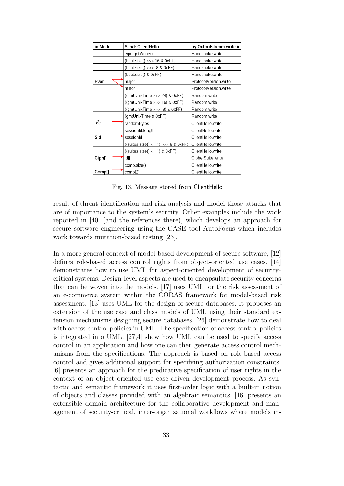| in Model | Send: ClientHello                              | by Outputstream.write in |
|----------|------------------------------------------------|--------------------------|
|          | type.getValue()                                | Handshake.write          |
|          | (bout.size() >>> 16 & 0xFF)                    | Handshake.write          |
|          | $($ bout.size $() \gg > 8$ & 0xFF)             | Handshake.write          |
|          | (bout.size() & 0xFF)                           | Handshake.write          |
| Pver     | major                                          | ProtocolVersion.write    |
|          | minor                                          | ProtocolVersion.write    |
|          | $((qmtUnixTime \gg 24) & QxFF)$                | Random.write             |
|          | $((gmtUnixTime \gg > 16)$ & OxFF)              | Random.write             |
|          | $((qmtUnixTime \gg 8) & QxFF)$                 | Random.write             |
|          | (gmtUnixTime & 0xFF)                           | Random.write             |
| $R_C$    | randomBytes                                    | ClientHello.write        |
|          | sessionId.length                               | ClientHello.write        |
| Sid      | sessionId                                      | ClientHello.write        |
|          | ((suites.size() << 1) >> 8 & OxFF)             | ClientHello.write        |
|          | $((\text{suites.size}() << 1) \& \text{0xFF})$ | ClientHello.write        |
| Ciph[]   | id[]                                           | CipherSuite.write        |
|          | comp.size()                                    | ClientHello.write        |
| Comp[]   | comp[2]                                        | ClientHello.write        |

Fig. 13. Message stored from ClientHello

result of threat identification and risk analysis and model those attacks that are of importance to the system's security. Other examples include the work reported in [40] (and the references there), which develops an approach for secure software engineering using the CASE tool AutoFocus which includes work towards mutation-based testing [23].

In a more general context of model-based development of secure software, [12] defines role-based access control rights from object-oriented use cases. [14] demonstrates how to use UML for aspect-oriented development of securitycritical systems. Design-level aspects are used to encapsulate security concerns that can be woven into the models. [17] uses UML for the risk assessment of an e-commerce system within the CORAS framework for model-based risk assessment. [13] uses UML for the design of secure databases. It proposes an extension of the use case and class models of UML using their standard extension mechanisms designing secure databases. [26] demonstrate how to deal with access control policies in UML. The specification of access control policies is integrated into UML. [27,4] show how UML can be used to specify access control in an application and how one can then generate access control mechanisms from the specifications. The approach is based on role-based access control and gives additional support for specifying authorization constraints. [6] presents an approach for the predicative specification of user rights in the context of an object oriented use case driven development process. As syntactic and semantic framework it uses first-order logic with a built-in notion of objects and classes provided with an algebraic semantics. [16] presents an extensible domain architecture for the collaborative development and management of security-critical, inter-organizational workflows where models in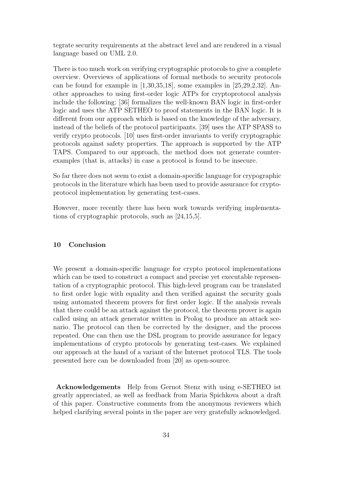tegrate security requirements at the abstract level and are rendered in a visual language based on UML 2.0.

There is too much work on verifying cryptographic protocols to give a complete overview. Overviews of applications of formal methods to security protocols can be found for example in [1,30,35,18], some examples in [25,29,2,32]. Another approaches to using first-order logic ATPs for cryptoprotocol analysis include the following: [36] formalizes the well-known BAN logic in first-order logic and uses the ATP SETHEO to proof statements in the BAN logic. It is different from our approach which is based on the knowledge of the adversary, instead of the beliefs of the protocol participants. [39] uses the ATP SPASS to verify crypto protocols. [10] uses first-order invariants to verify cryptographic protocols against safety properties. The approach is supported by the ATP TAPS. Compared to our approach, the method does not generate counterexamples (that is, attacks) in case a protocol is found to be insecure.

So far there does not seem to exist a domain-specific language for crypographic protocols in the literature which has been used to provide assurance for cryptoprotocol implementation by generating test-cases.

However, more recently there has been work towards verifying implementations of cryptographic protocols, such as [24,15,5].

## 10 Conclusion

We present a domain-specific language for crypto protocol implementations which can be used to construct a compact and precise yet executable representation of a cryptographic protocol. This high-level program can be translated to first order logic with equality and then verified against the security goals using automated theorem provers for first order logic. If the analysis reveals that there could be an attack against the protocol, the theorem prover is again called using an attack generator written in Prolog to produce an attack scenario. The protocol can then be corrected by the designer, and the process repeated. One can then use the DSL program to provide assurance for legacy implementations of crypto protocols by generating test-cases. We explained our approach at the hand of a variant of the Internet protocol TLS. The tools presented here can be downloaded from [20] as open-source.

Acknowledgements Help from Gernot Stenz with using e-SETHEO ist greatly appreciated, as well as feedback from Maria Spichkova about a draft of this paper. Constructive comments from the anonymous reviewers which helped clarifying several points in the paper are very gratefully acknowledged.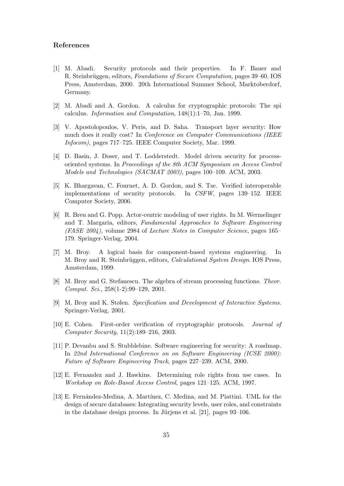### References

- [1] M. Abadi. Security protocols and their properties. In F. Bauer and R. Steinbrüggen, editors, Foundations of Secure Computation, pages 39–60. IOS Press, Amsterdam, 2000. 20th International Summer School, Marktoberdorf, Germany.
- [2] M. Abadi and A. Gordon. A calculus for cryptographic protocols: The spi calculus. Information and Computation, 148(1):1–70, Jan. 1999.
- [3] V. Apostolopoulos, V. Peris, and D. Saha. Transport layer security: How much does it really cost? In Conference on Computer Communications (IEEE Infocom), pages 717–725. IEEE Computer Society, Mar. 1999.
- [4] D. Basin, J. Doser, and T. Lodderstedt. Model driven security for processoriented systems. In Proceedings of the 8th ACM Symposium on Access Control Models and Technologies (SACMAT 2003), pages 100–109. ACM, 2003.
- [5] K. Bhargavan, C. Fournet, A. D. Gordon, and S. Tse. Verified interoperable implementations of security protocols. In CSFW, pages 139–152. IEEE Computer Society, 2006.
- [6] R. Breu and G. Popp. Actor-centric modeling of user rights. In M. Wermelinger and T. Margaria, editors, Fundamental Approaches to Software Engineering (FASE 2004), volume 2984 of Lecture Notes in Computer Science, pages 165– 179. Springer-Verlag, 2004.
- [7] M. Broy. A logical basis for component-based systems engineering. In M. Broy and R. Steinbrüggen, editors, *Calculational System Design*. IOS Press, Amsterdam, 1999.
- [8] M. Broy and G. Stefanescu. The algebra of stream processing functions. Theor. Comput. Sci., 258(1-2):99–129, 2001.
- [9] M. Broy and K. Stølen. Specification and Development of Interactive Systems. Springer-Verlag, 2001.
- [10] E. Cohen. First-order verification of cryptographic protocols. Journal of Computer Security, 11(2):189–216, 2003.
- [11] P. Devanbu and S. Stubblebine. Software engineering for security: A roadmap. In 22nd International Conference on on Software Engineering (ICSE 2000): Future of Software Engineering Track, pages 227–239. ACM, 2000.
- [12] E. Fernandez and J. Hawkins. Determining role rights from use cases. In Workshop on Role-Based Access Control, pages 121–125. ACM, 1997.
- [13] E. Fernández-Medina, A. Martínez, C. Medina, and M. Piattini. UML for the design of secure databases: Integrating security levels, user roles, and constraints in the database design process. In Jürjens et al.  $[21]$ , pages 93–106.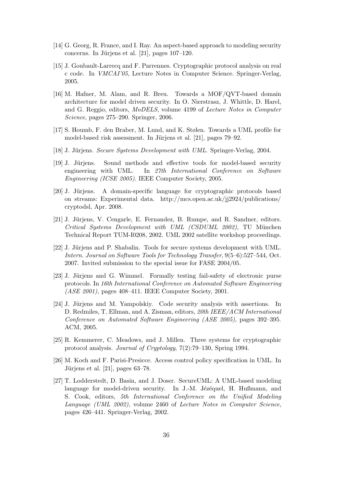- [14] G. Georg, R. France, and I. Ray. An aspect-based approach to modeling security concerns. In Jürjens et al.  $[21]$ , pages 107–120.
- [15] J. Goubault-Larrecq and F. Parrennes. Cryptographic protocol analysis on real c code. In VMCAI'05, Lecture Notes in Computer Science. Springer-Verlag, 2005.
- [16] M. Hafner, M. Alam, and R. Breu. Towards a MOF/QVT-based domain architecture for model driven security. In O. Nierstrasz, J. Whittle, D. Harel, and G. Reggio, editors, MoDELS, volume 4199 of Lecture Notes in Computer Science, pages 275–290. Springer, 2006.
- [17] S. Houmb, F. den Braber, M. Lund, and K. Stølen. Towards a UML profile for model-based risk assessment. In Jürjens et al.  $[21]$ , pages 79–92.
- [18] J. Jürjens. *Secure Systems Development with UML*. Springer-Verlag, 2004.
- [19] J. Jürjens. Sound methods and effective tools for model-based security engineering with UML. In 27th International Conference on Software Engineering (ICSE 2005). IEEE Computer Society, 2005.
- [20] J. Jürjens. A domain-specific language for cryptographic protocols based on streams: Experimental data. http://mcs.open.ac.uk/jj2924/publications/ cryptodsl, Apr. 2008.
- [21] J. Jürjens, V. Cengarle, E. Fernandez, B. Rumpe, and R. Sandner, editors. Critical Systems Development with UML (CSDUML 2002), TU München Technical Report TUM-I0208, 2002. UML 2002 satellite workshop proceedings.
- [22] J. Jürjens and P. Shabalin. Tools for secure systems development with UML. Intern. Journal on Software Tools for Technology Transfer, 9(5–6):527–544, Oct. 2007. Invited submission to the special issue for FASE 2004/05.
- [23] J. Jürjens and G. Wimmel. Formally testing fail-safety of electronic purse protocols. In 16th International Conference on Automated Software Engineering (ASE 2001), pages 408–411. IEEE Computer Society, 2001.
- [24] J. Jürjens and M. Yampolskiy. Code security analysis with assertions. In D. Redmiles, T. Ellman, and A. Zisman, editors, 20th IEEE/ACM International Conference on Automated Software Engineering (ASE 2005), pages 392–395. ACM, 2005.
- [25] R. Kemmerer, C. Meadows, and J. Millen. Three systems for cryptographic protocol analysis. Journal of Cryptology, 7(2):79–130, Spring 1994.
- [26] M. Koch and F. Parisi-Presicce. Access control policy specification in UML. In Jürjens et al.  $[21]$ , pages 63–78.
- [27] T. Lodderstedt, D. Basin, and J. Doser. SecureUML: A UML-based modeling language for model-driven security. In J.-M. Jézéquel, H. Hußmann, and S. Cook, editors, 5th International Conference on the Unified Modeling Language (UML 2002), volume 2460 of Lecture Notes in Computer Science, pages 426–441. Springer-Verlag, 2002.